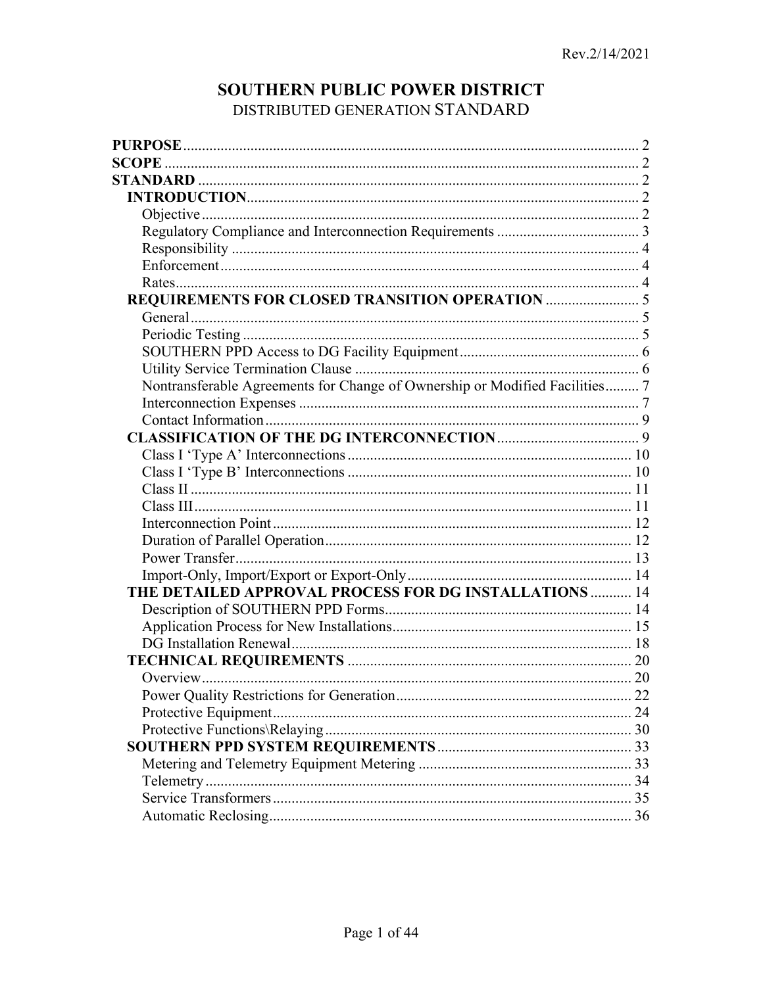# SOUTHERN PUBLIC POWER DISTRICT DISTRIBUTED GENERATION STANDARD

| Nontransferable Agreements for Change of Ownership or Modified Facilities 7 |  |
|-----------------------------------------------------------------------------|--|
|                                                                             |  |
|                                                                             |  |
|                                                                             |  |
|                                                                             |  |
|                                                                             |  |
|                                                                             |  |
|                                                                             |  |
|                                                                             |  |
|                                                                             |  |
|                                                                             |  |
|                                                                             |  |
| THE DETAILED APPROVAL PROCESS FOR DG INSTALLATIONS  14                      |  |
|                                                                             |  |
|                                                                             |  |
|                                                                             |  |
|                                                                             |  |
|                                                                             |  |
|                                                                             |  |
|                                                                             |  |
|                                                                             |  |
|                                                                             |  |
|                                                                             |  |
|                                                                             |  |
|                                                                             |  |
|                                                                             |  |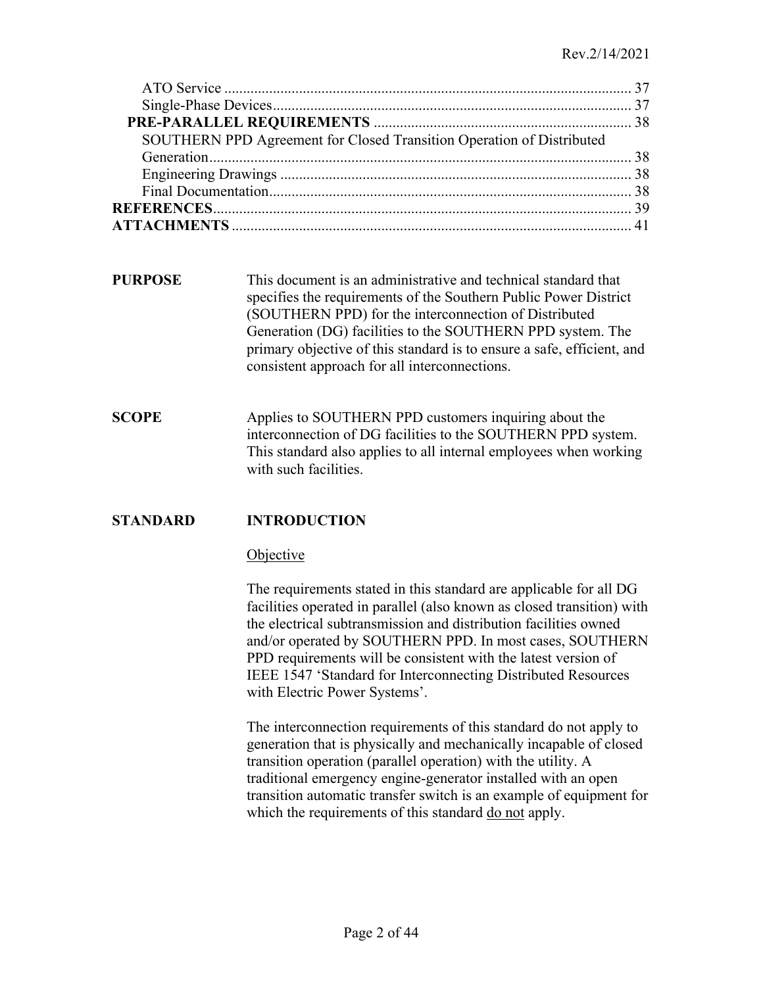| SOUTHERN PPD Agreement for Closed Transition Operation of Distributed |  |
|-----------------------------------------------------------------------|--|
|                                                                       |  |
|                                                                       |  |
|                                                                       |  |
|                                                                       |  |
|                                                                       |  |

- <span id="page-1-0"></span>**PURPOSE** This document is an administrative and technical standard that specifies the requirements of the Southern Public Power District (SOUTHERN PPD) for the interconnection of Distributed Generation (DG) facilities to the SOUTHERN PPD system. The primary objective of this standard is to ensure a safe, efficient, and consistent approach for all interconnections.
- <span id="page-1-1"></span>**SCOPE** Applies to SOUTHERN PPD customers inquiring about the interconnection of DG facilities to the SOUTHERN PPD system. This standard also applies to all internal employees when working with such facilities.

# **STANDARD INTRODUCTION**

#### <span id="page-1-4"></span><span id="page-1-3"></span><span id="page-1-2"></span>**Objective**

The requirements stated in this standard are applicable for all DG facilities operated in parallel (also known as closed transition) with the electrical subtransmission and distribution facilities owned and/or operated by SOUTHERN PPD. In most cases, SOUTHERN PPD requirements will be consistent with the latest version of IEEE 1547 'Standard for Interconnecting Distributed Resources with Electric Power Systems'.

The interconnection requirements of this standard do not apply to generation that is physically and mechanically incapable of closed transition operation (parallel operation) with the utility. A traditional emergency engine-generator installed with an open transition automatic transfer switch is an example of equipment for which the requirements of this standard do not apply.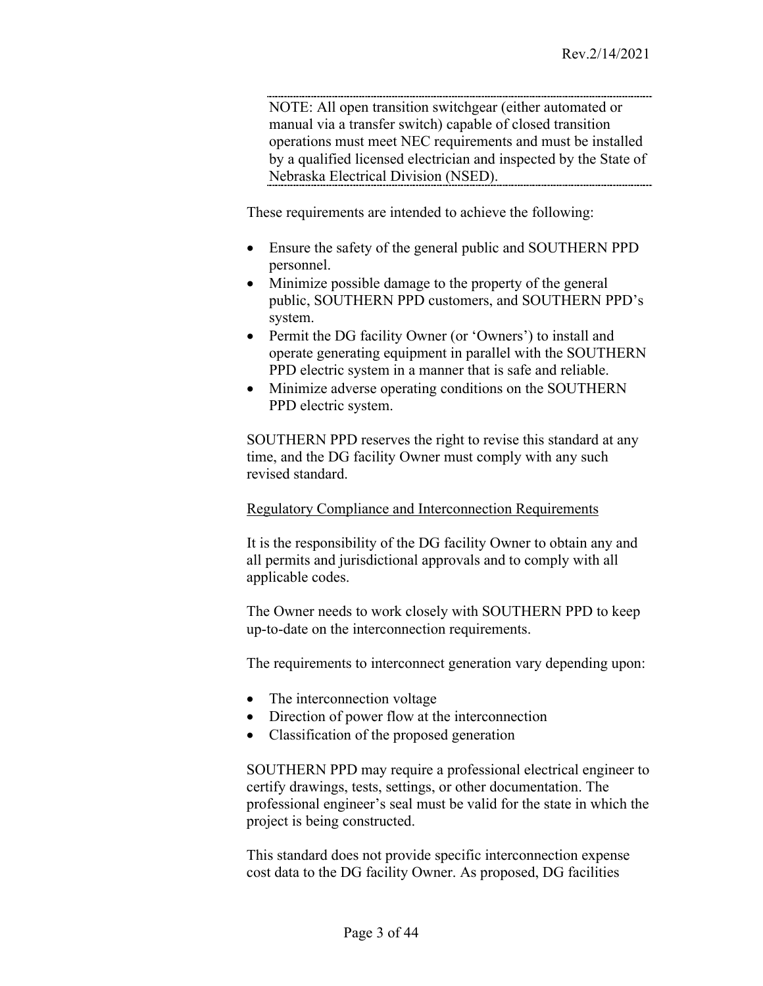NOTE: All open transition switchgear (either automated or manual via a transfer switch) capable of closed transition operations must meet NEC requirements and must be installed by a qualified licensed electrician and inspected by the State of Nebraska Electrical Division (NSED).

These requirements are intended to achieve the following:

- Ensure the safety of the general public and SOUTHERN PPD personnel.
- Minimize possible damage to the property of the general public, SOUTHERN PPD customers, and SOUTHERN PPD's system.
- Permit the DG facility Owner (or 'Owners') to install and operate generating equipment in parallel with the SOUTHERN PPD electric system in a manner that is safe and reliable.
- Minimize adverse operating conditions on the SOUTHERN PPD electric system.

SOUTHERN PPD reserves the right to revise this standard at any time, and the DG facility Owner must comply with any such revised standard.

#### <span id="page-2-0"></span>Regulatory Compliance and Interconnection Requirements

It is the responsibility of the DG facility Owner to obtain any and all permits and jurisdictional approvals and to comply with all applicable codes.

The Owner needs to work closely with SOUTHERN PPD to keep up-to-date on the interconnection requirements.

The requirements to interconnect generation vary depending upon:

- The interconnection voltage
- Direction of power flow at the interconnection
- Classification of the proposed generation

SOUTHERN PPD may require a professional electrical engineer to certify drawings, tests, settings, or other documentation. The professional engineer's seal must be valid for the state in which the project is being constructed.

This standard does not provide specific interconnection expense cost data to the DG facility Owner. As proposed, DG facilities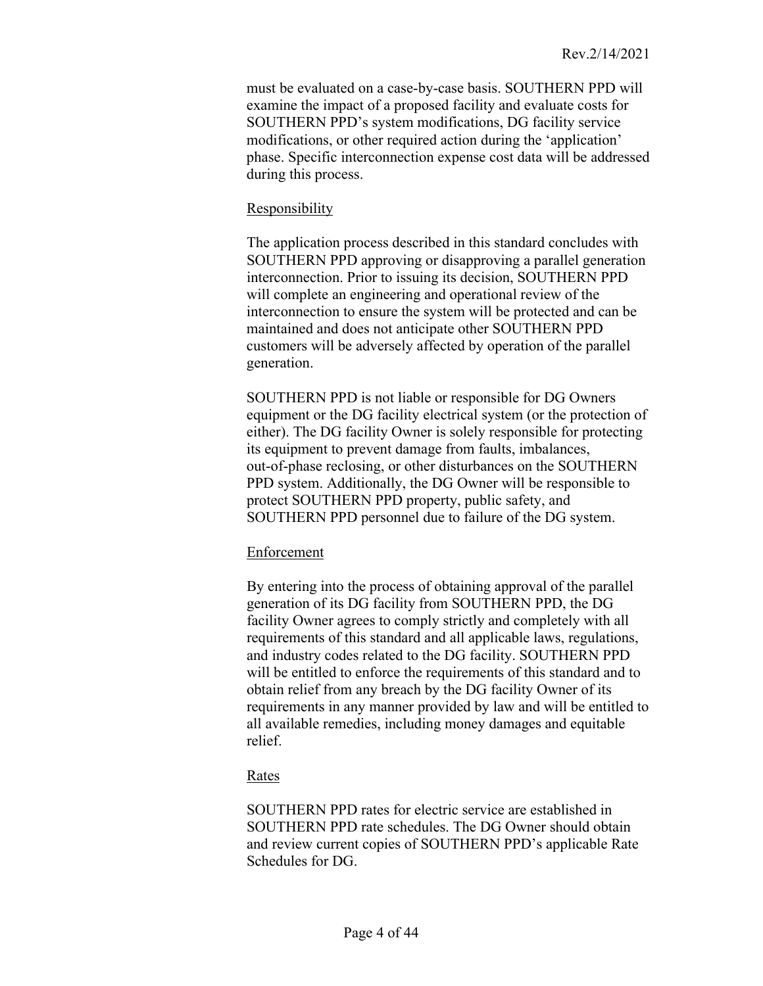must be evaluated on a case-by-case basis. SOUTHERN PPD will examine the impact of a proposed facility and evaluate costs for SOUTHERN PPD's system modifications, DG facility service modifications, or other required action during the 'application' phase. Specific interconnection expense cost data will be addressed during this process.

### <span id="page-3-0"></span>Responsibility

The application process described in this standard concludes with SOUTHERN PPD approving or disapproving a parallel generation interconnection. Prior to issuing its decision, SOUTHERN PPD will complete an engineering and operational review of the interconnection to ensure the system will be protected and can be maintained and does not anticipate other SOUTHERN PPD customers will be adversely affected by operation of the parallel generation.

SOUTHERN PPD is not liable or responsible for DG Owners equipment or the DG facility electrical system (or the protection of either). The DG facility Owner is solely responsible for protecting its equipment to prevent damage from faults, imbalances, out-of-phase reclosing, or other disturbances on the SOUTHERN PPD system. Additionally, the DG Owner will be responsible to protect SOUTHERN PPD property, public safety, and SOUTHERN PPD personnel due to failure of the DG system.

#### <span id="page-3-1"></span>Enforcement

By entering into the process of obtaining approval of the parallel generation of its DG facility from SOUTHERN PPD, the DG facility Owner agrees to comply strictly and completely with all requirements of this standard and all applicable laws, regulations, and industry codes related to the DG facility. SOUTHERN PPD will be entitled to enforce the requirements of this standard and to obtain relief from any breach by the DG facility Owner of its requirements in any manner provided by law and will be entitled to all available remedies, including money damages and equitable relief.

# <span id="page-3-2"></span>Rates

SOUTHERN PPD rates for electric service are established in SOUTHERN PPD rate schedules. The DG Owner should obtain and review current copies of SOUTHERN PPD's applicable Rate Schedules for DG.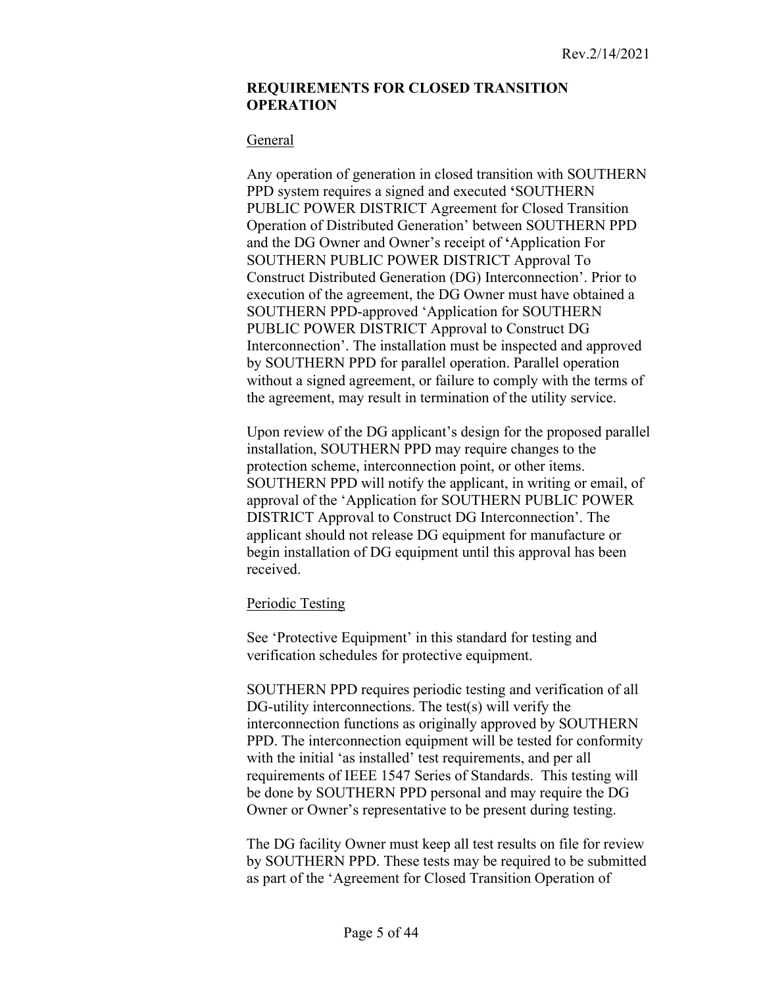#### <span id="page-4-0"></span>**REQUIREMENTS FOR CLOSED TRANSITION OPERATION**

#### <span id="page-4-1"></span>General

Any operation of generation in closed transition with SOUTHERN PPD system requires a signed and executed **'**SOUTHERN PUBLIC POWER DISTRICT Agreement for Closed Transition Operation of Distributed Generation' between SOUTHERN PPD and the DG Owner and Owner's receipt of **'**Application For SOUTHERN PUBLIC POWER DISTRICT Approval To Construct Distributed Generation (DG) Interconnection'. Prior to execution of the agreement, the DG Owner must have obtained a SOUTHERN PPD-approved 'Application for SOUTHERN PUBLIC POWER DISTRICT Approval to Construct DG Interconnection'. The installation must be inspected and approved by SOUTHERN PPD for parallel operation. Parallel operation without a signed agreement, or failure to comply with the terms of the agreement, may result in termination of the utility service.

Upon review of the DG applicant's design for the proposed parallel installation, SOUTHERN PPD may require changes to the protection scheme, interconnection point, or other items. SOUTHERN PPD will notify the applicant, in writing or email, of approval of the 'Application for SOUTHERN PUBLIC POWER DISTRICT Approval to Construct DG Interconnection'. The applicant should not release DG equipment for manufacture or begin installation of DG equipment until this approval has been received.

# <span id="page-4-2"></span>Periodic Testing

See 'Protective Equipment' in this standard for testing and verification schedules for protective equipment.

SOUTHERN PPD requires periodic testing and verification of all DG-utility interconnections. The test(s) will verify the interconnection functions as originally approved by SOUTHERN PPD. The interconnection equipment will be tested for conformity with the initial 'as installed' test requirements, and per all requirements of IEEE 1547 Series of Standards. This testing will be done by SOUTHERN PPD personal and may require the DG Owner or Owner's representative to be present during testing.

The DG facility Owner must keep all test results on file for review by SOUTHERN PPD. These tests may be required to be submitted as part of the 'Agreement for Closed Transition Operation of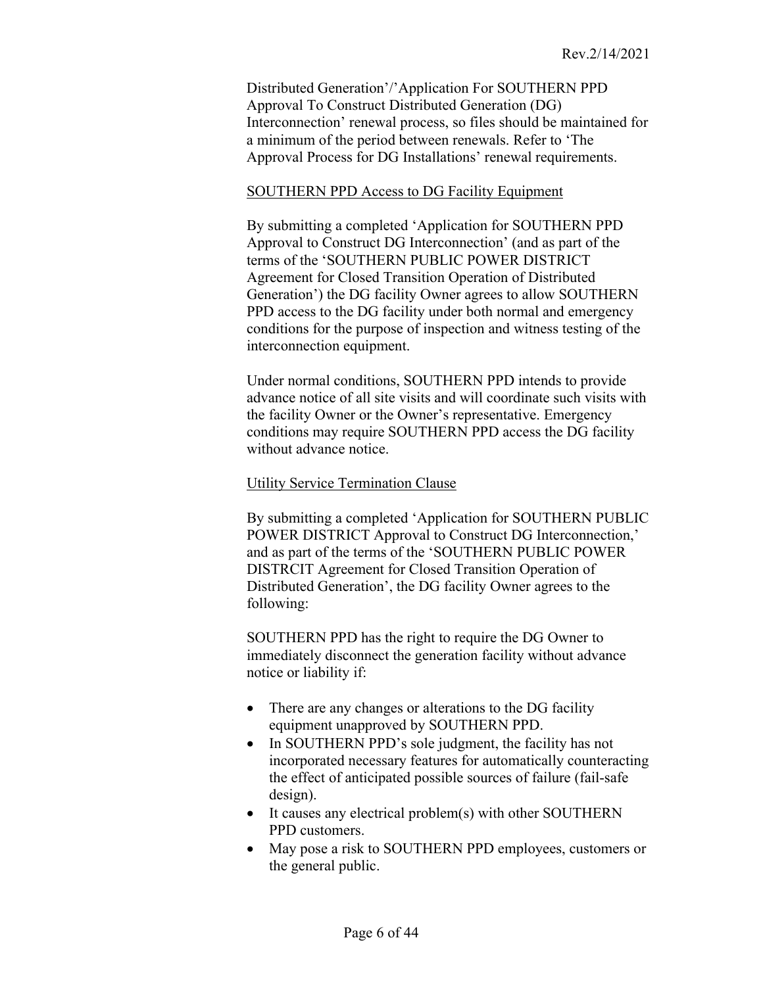Distributed Generation'/'Application For SOUTHERN PPD Approval To Construct Distributed Generation (DG) Interconnection' renewal process, so files should be maintained for a minimum of the period between renewals. Refer to 'The Approval Process for DG Installations' renewal requirements.

#### <span id="page-5-0"></span>SOUTHERN PPD Access to DG Facility Equipment

By submitting a completed 'Application for SOUTHERN PPD Approval to Construct DG Interconnection' (and as part of the terms of the 'SOUTHERN PUBLIC POWER DISTRICT Agreement for Closed Transition Operation of Distributed Generation') the DG facility Owner agrees to allow SOUTHERN PPD access to the DG facility under both normal and emergency conditions for the purpose of inspection and witness testing of the interconnection equipment.

Under normal conditions, SOUTHERN PPD intends to provide advance notice of all site visits and will coordinate such visits with the facility Owner or the Owner's representative. Emergency conditions may require SOUTHERN PPD access the DG facility without advance notice.

#### <span id="page-5-1"></span>Utility Service Termination Clause

By submitting a completed 'Application for SOUTHERN PUBLIC POWER DISTRICT Approval to Construct DG Interconnection,' and as part of the terms of the 'SOUTHERN PUBLIC POWER DISTRCIT Agreement for Closed Transition Operation of Distributed Generation', the DG facility Owner agrees to the following:

SOUTHERN PPD has the right to require the DG Owner to immediately disconnect the generation facility without advance notice or liability if:

- There are any changes or alterations to the DG facility equipment unapproved by SOUTHERN PPD.
- In SOUTHERN PPD's sole judgment, the facility has not incorporated necessary features for automatically counteracting the effect of anticipated possible sources of failure (fail-safe design).
- It causes any electrical problem(s) with other SOUTHERN PPD customers.
- May pose a risk to SOUTHERN PPD employees, customers or the general public.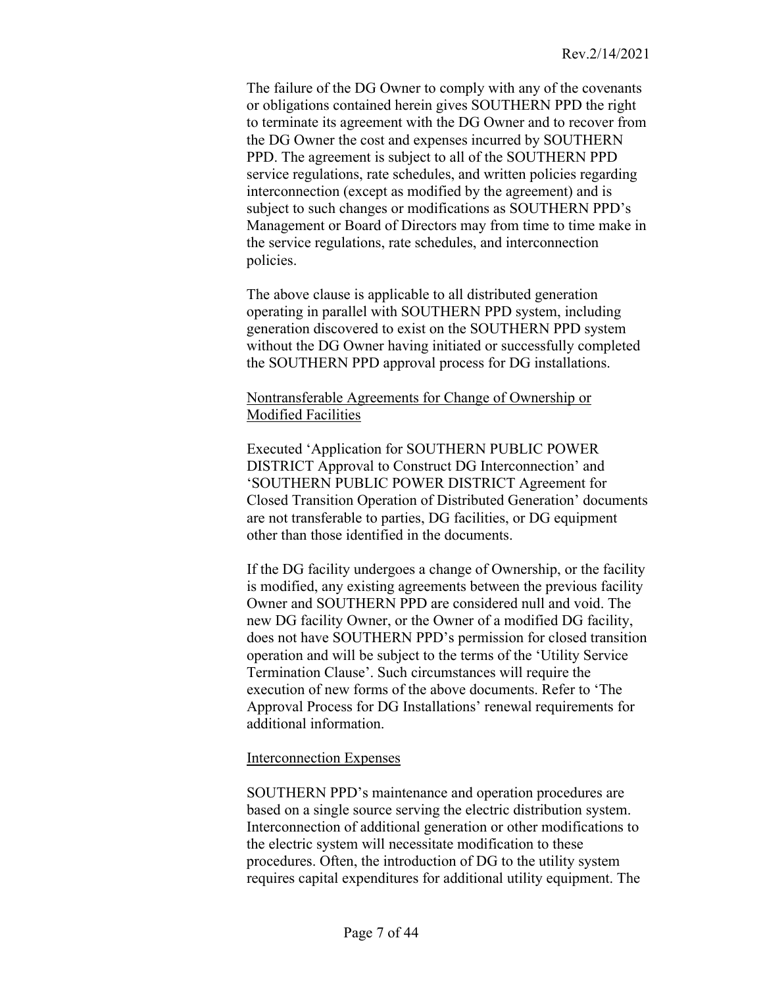The failure of the DG Owner to comply with any of the covenants or obligations contained herein gives SOUTHERN PPD the right to terminate its agreement with the DG Owner and to recover from the DG Owner the cost and expenses incurred by SOUTHERN PPD. The agreement is subject to all of the SOUTHERN PPD service regulations, rate schedules, and written policies regarding interconnection (except as modified by the agreement) and is subject to such changes or modifications as SOUTHERN PPD's Management or Board of Directors may from time to time make in the service regulations, rate schedules, and interconnection policies.

The above clause is applicable to all distributed generation operating in parallel with SOUTHERN PPD system, including generation discovered to exist on the SOUTHERN PPD system without the DG Owner having initiated or successfully completed the SOUTHERN PPD approval process for DG installations.

#### <span id="page-6-0"></span>Nontransferable Agreements for Change of Ownership or Modified Facilities

Executed 'Application for SOUTHERN PUBLIC POWER DISTRICT Approval to Construct DG Interconnection' and 'SOUTHERN PUBLIC POWER DISTRICT Agreement for Closed Transition Operation of Distributed Generation' documents are not transferable to parties, DG facilities, or DG equipment other than those identified in the documents.

If the DG facility undergoes a change of Ownership, or the facility is modified, any existing agreements between the previous facility Owner and SOUTHERN PPD are considered null and void. The new DG facility Owner, or the Owner of a modified DG facility, does not have SOUTHERN PPD's permission for closed transition operation and will be subject to the terms of the 'Utility Service Termination Clause'. Such circumstances will require the execution of new forms of the above documents. Refer to 'The Approval Process for DG Installations' renewal requirements for additional information.

# <span id="page-6-1"></span>Interconnection Expenses

SOUTHERN PPD's maintenance and operation procedures are based on a single source serving the electric distribution system. Interconnection of additional generation or other modifications to the electric system will necessitate modification to these procedures. Often, the introduction of DG to the utility system requires capital expenditures for additional utility equipment. The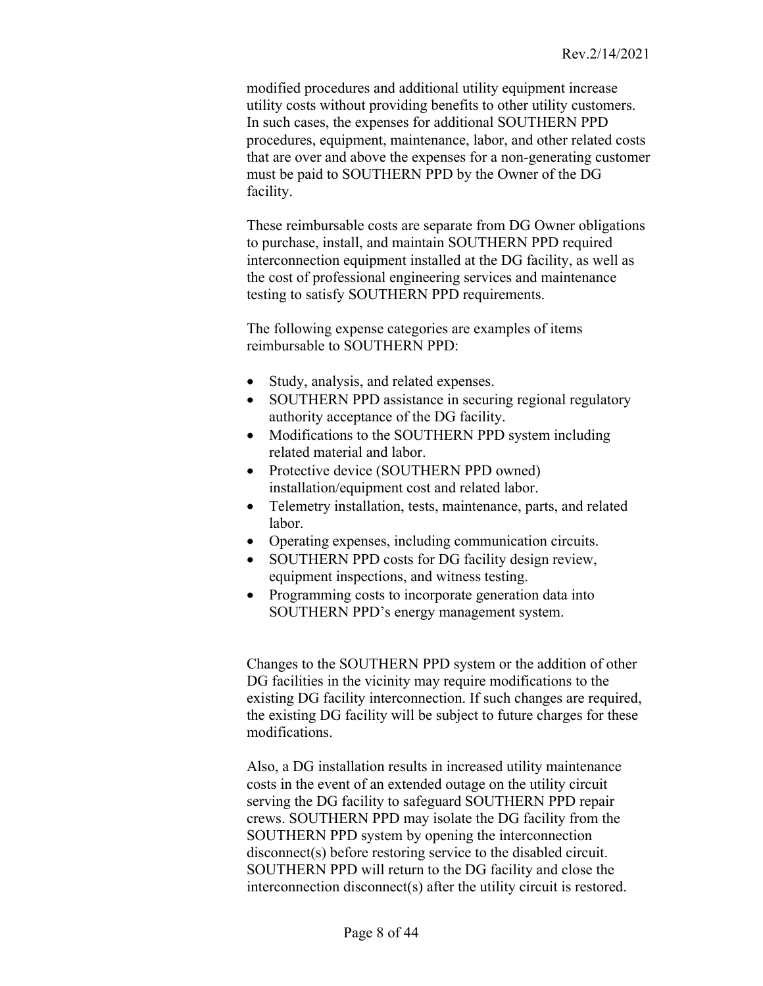modified procedures and additional utility equipment increase utility costs without providing benefits to other utility customers. In such cases, the expenses for additional SOUTHERN PPD procedures, equipment, maintenance, labor, and other related costs that are over and above the expenses for a non-generating customer must be paid to SOUTHERN PPD by the Owner of the DG facility.

These reimbursable costs are separate from DG Owner obligations to purchase, install, and maintain SOUTHERN PPD required interconnection equipment installed at the DG facility, as well as the cost of professional engineering services and maintenance testing to satisfy SOUTHERN PPD requirements.

The following expense categories are examples of items reimbursable to SOUTHERN PPD:

- Study, analysis, and related expenses.
- SOUTHERN PPD assistance in securing regional regulatory authority acceptance of the DG facility.
- Modifications to the SOUTHERN PPD system including related material and labor.
- Protective device (SOUTHERN PPD owned) installation/equipment cost and related labor.
- Telemetry installation, tests, maintenance, parts, and related labor.
- Operating expenses, including communication circuits.
- SOUTHERN PPD costs for DG facility design review, equipment inspections, and witness testing.
- Programming costs to incorporate generation data into SOUTHERN PPD's energy management system.

Changes to the SOUTHERN PPD system or the addition of other DG facilities in the vicinity may require modifications to the existing DG facility interconnection. If such changes are required, the existing DG facility will be subject to future charges for these modifications.

Also, a DG installation results in increased utility maintenance costs in the event of an extended outage on the utility circuit serving the DG facility to safeguard SOUTHERN PPD repair crews. SOUTHERN PPD may isolate the DG facility from the SOUTHERN PPD system by opening the interconnection disconnect(s) before restoring service to the disabled circuit. SOUTHERN PPD will return to the DG facility and close the interconnection disconnect(s) after the utility circuit is restored.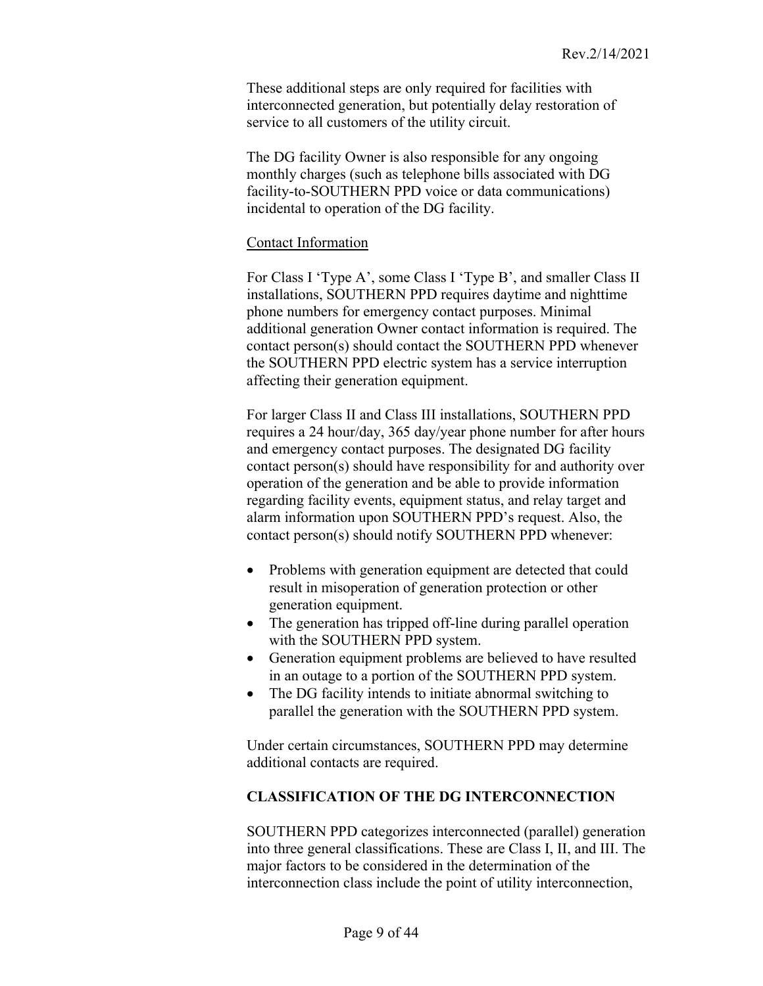These additional steps are only required for facilities with interconnected generation, but potentially delay restoration of service to all customers of the utility circuit.

The DG facility Owner is also responsible for any ongoing monthly charges (such as telephone bills associated with DG facility-to-SOUTHERN PPD voice or data communications) incidental to operation of the DG facility.

### <span id="page-8-0"></span>Contact Information

For Class I 'Type A', some Class I 'Type B', and smaller Class II installations, SOUTHERN PPD requires daytime and nighttime phone numbers for emergency contact purposes. Minimal additional generation Owner contact information is required. The contact person(s) should contact the SOUTHERN PPD whenever the SOUTHERN PPD electric system has a service interruption affecting their generation equipment.

For larger Class II and Class III installations, SOUTHERN PPD requires a 24 hour/day, 365 day/year phone number for after hours and emergency contact purposes. The designated DG facility contact person(s) should have responsibility for and authority over operation of the generation and be able to provide information regarding facility events, equipment status, and relay target and alarm information upon SOUTHERN PPD's request. Also, the contact person(s) should notify SOUTHERN PPD whenever:

- Problems with generation equipment are detected that could result in misoperation of generation protection or other generation equipment.
- The generation has tripped off-line during parallel operation with the SOUTHERN PPD system.
- Generation equipment problems are believed to have resulted in an outage to a portion of the SOUTHERN PPD system.
- The DG facility intends to initiate abnormal switching to parallel the generation with the SOUTHERN PPD system.

Under certain circumstances, SOUTHERN PPD may determine additional contacts are required.

# <span id="page-8-1"></span>**CLASSIFICATION OF THE DG INTERCONNECTION**

SOUTHERN PPD categorizes interconnected (parallel) generation into three general classifications. These are Class I, II, and III. The major factors to be considered in the determination of the interconnection class include the point of utility interconnection,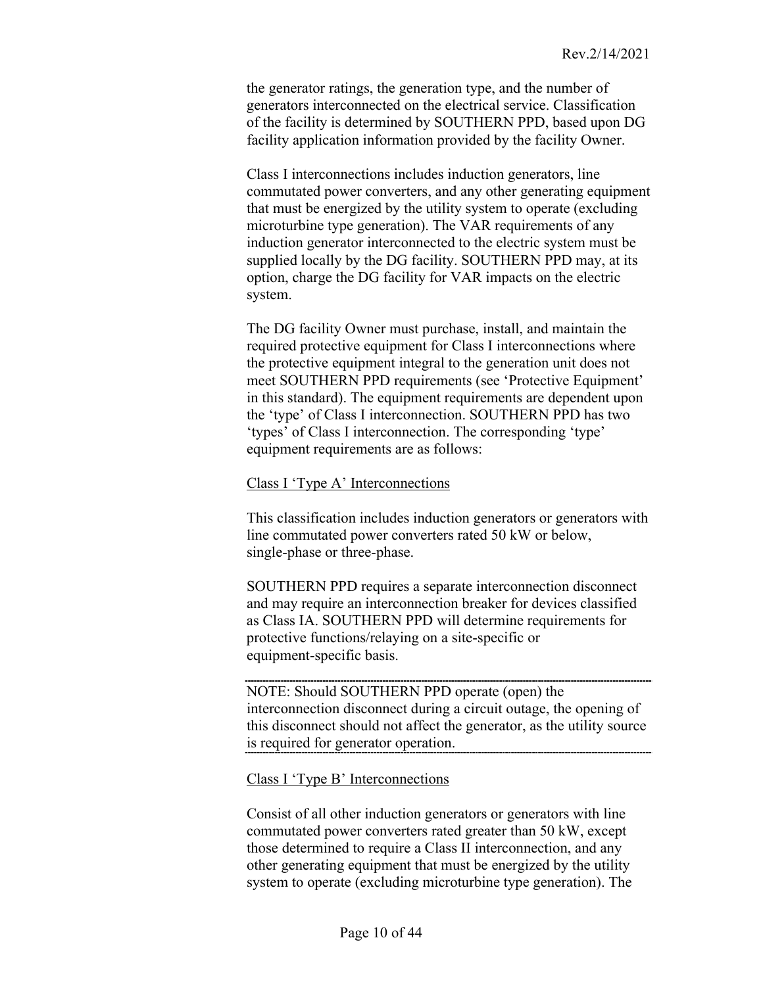the generator ratings, the generation type, and the number of generators interconnected on the electrical service. Classification of the facility is determined by SOUTHERN PPD, based upon DG facility application information provided by the facility Owner.

Class I interconnections includes induction generators, line commutated power converters, and any other generating equipment that must be energized by the utility system to operate (excluding microturbine type generation). The VAR requirements of any induction generator interconnected to the electric system must be supplied locally by the DG facility. SOUTHERN PPD may, at its option, charge the DG facility for VAR impacts on the electric system.

The DG facility Owner must purchase, install, and maintain the required protective equipment for Class I interconnections where the protective equipment integral to the generation unit does not meet SOUTHERN PPD requirements (see 'Protective Equipment' in this standard). The equipment requirements are dependent upon the 'type' of Class I interconnection. SOUTHERN PPD has two 'types' of Class I interconnection. The corresponding 'type' equipment requirements are as follows:

#### <span id="page-9-0"></span>Class I 'Type A' Interconnections

This classification includes induction generators or generators with line commutated power converters rated 50 kW or below, single-phase or three-phase.

SOUTHERN PPD requires a separate interconnection disconnect and may require an interconnection breaker for devices classified as Class IA. SOUTHERN PPD will determine requirements for protective functions/relaying on a site-specific or equipment-specific basis.

NOTE: Should SOUTHERN PPD operate (open) the interconnection disconnect during a circuit outage, the opening of this disconnect should not affect the generator, as the utility source is required for generator operation.

<span id="page-9-1"></span>Class I 'Type B' Interconnections

Consist of all other induction generators or generators with line commutated power converters rated greater than 50 kW, except those determined to require a Class II interconnection, and any other generating equipment that must be energized by the utility system to operate (excluding microturbine type generation). The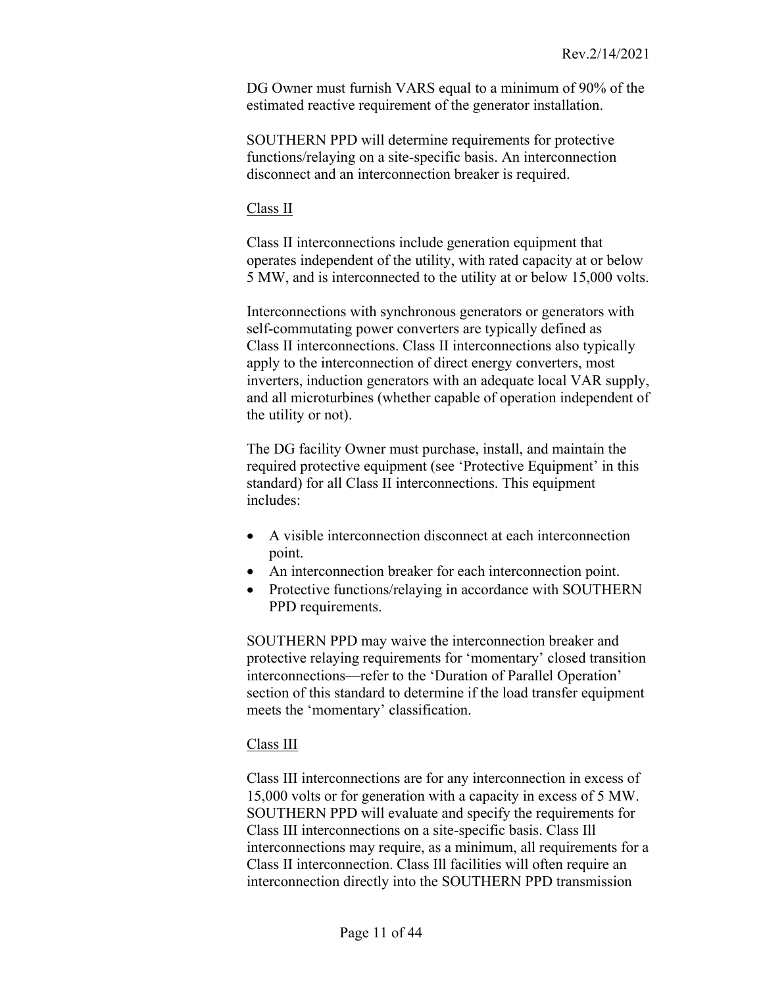DG Owner must furnish VARS equal to a minimum of 90% of the estimated reactive requirement of the generator installation.

SOUTHERN PPD will determine requirements for protective functions/relaying on a site-specific basis. An interconnection disconnect and an interconnection breaker is required.

<span id="page-10-0"></span>Class II

Class II interconnections include generation equipment that operates independent of the utility, with rated capacity at or below 5 MW, and is interconnected to the utility at or below 15,000 volts.

Interconnections with synchronous generators or generators with self-commutating power converters are typically defined as Class II interconnections. Class II interconnections also typically apply to the interconnection of direct energy converters, most inverters, induction generators with an adequate local VAR supply, and all microturbines (whether capable of operation independent of the utility or not).

The DG facility Owner must purchase, install, and maintain the required protective equipment (see 'Protective Equipment' in this standard) for all Class II interconnections. This equipment includes:

- A visible interconnection disconnect at each interconnection point.
- An interconnection breaker for each interconnection point.
- Protective functions/relaying in accordance with SOUTHERN PPD requirements.

SOUTHERN PPD may waive the interconnection breaker and protective relaying requirements for 'momentary' closed transition interconnections—refer to the 'Duration of Parallel Operation' section of this standard to determine if the load transfer equipment meets the 'momentary' classification.

# <span id="page-10-1"></span>Class III

Class III interconnections are for any interconnection in excess of 15,000 volts or for generation with a capacity in excess of 5 MW. SOUTHERN PPD will evaluate and specify the requirements for Class III interconnections on a site-specific basis. Class Ill interconnections may require, as a minimum, all requirements for a Class II interconnection. Class Ill facilities will often require an interconnection directly into the SOUTHERN PPD transmission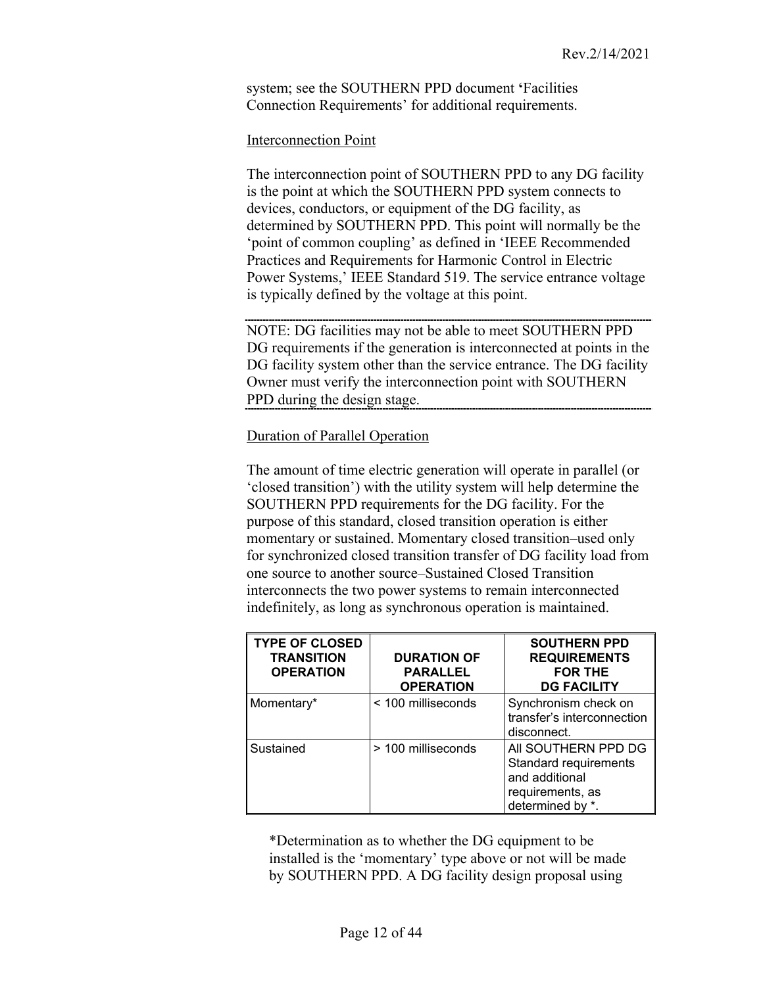system; see the SOUTHERN PPD document **'**Facilities Connection Requirements' for additional requirements.

### <span id="page-11-0"></span>Interconnection Point

The interconnection point of SOUTHERN PPD to any DG facility is the point at which the SOUTHERN PPD system connects to devices, conductors, or equipment of the DG facility, as determined by SOUTHERN PPD. This point will normally be the 'point of common coupling' as defined in 'IEEE Recommended Practices and Requirements for Harmonic Control in Electric Power Systems,' IEEE Standard 519. The service entrance voltage is typically defined by the voltage at this point.

NOTE: DG facilities may not be able to meet SOUTHERN PPD DG requirements if the generation is interconnected at points in the DG facility system other than the service entrance. The DG facility Owner must verify the interconnection point with SOUTHERN PPD during the design stage.

### <span id="page-11-1"></span>Duration of Parallel Operation

The amount of time electric generation will operate in parallel (or 'closed transition') with the utility system will help determine the SOUTHERN PPD requirements for the DG facility. For the purpose of this standard, closed transition operation is either momentary or sustained. Momentary closed transition–used only for synchronized closed transition transfer of DG facility load from one source to another source–Sustained Closed Transition interconnects the two power systems to remain interconnected indefinitely, as long as synchronous operation is maintained.

| <b>TYPE OF CLOSED</b><br><b>TRANSITION</b><br><b>OPERATION</b> | <b>DURATION OF</b><br><b>PARALLEL</b><br><b>OPERATION</b> | <b>SOUTHERN PPD</b><br><b>REQUIREMENTS</b><br><b>FOR THE</b><br><b>DG FACILITY</b>                           |
|----------------------------------------------------------------|-----------------------------------------------------------|--------------------------------------------------------------------------------------------------------------|
| Momentary*                                                     | < 100 milliseconds                                        | Synchronism check on<br>transfer's interconnection<br>disconnect.                                            |
| Sustained                                                      | > 100 milliseconds                                        | AII SOUTHERN PPD DG<br><b>Standard requirements</b><br>and additional<br>requirements, as<br>determined by * |

\*Determination as to whether the DG equipment to be installed is the 'momentary' type above or not will be made by SOUTHERN PPD. A DG facility design proposal using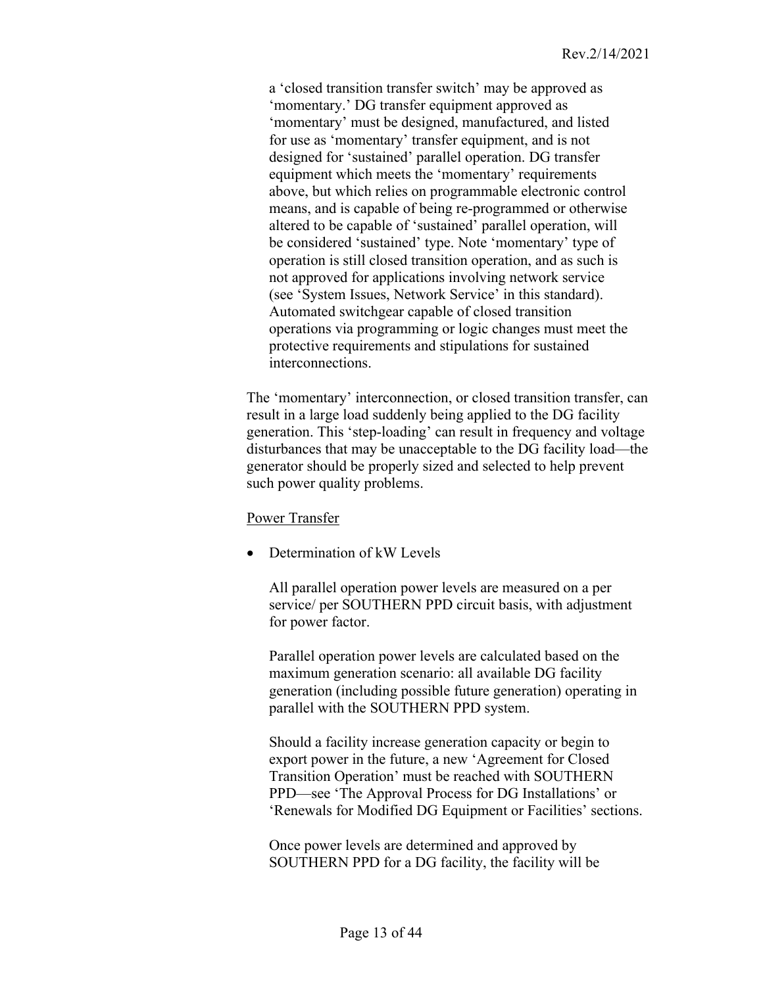a 'closed transition transfer switch' may be approved as 'momentary.' DG transfer equipment approved as 'momentary' must be designed, manufactured, and listed for use as 'momentary' transfer equipment, and is not designed for 'sustained' parallel operation. DG transfer equipment which meets the 'momentary' requirements above, but which relies on programmable electronic control means, and is capable of being re-programmed or otherwise altered to be capable of 'sustained' parallel operation, will be considered 'sustained' type. Note 'momentary' type of operation is still closed transition operation, and as such is not approved for applications involving network service (see 'System Issues, Network Service' in this standard). Automated switchgear capable of closed transition operations via programming or logic changes must meet the protective requirements and stipulations for sustained interconnections.

The 'momentary' interconnection, or closed transition transfer, can result in a large load suddenly being applied to the DG facility generation. This 'step-loading' can result in frequency and voltage disturbances that may be unacceptable to the DG facility load—the generator should be properly sized and selected to help prevent such power quality problems.

#### <span id="page-12-0"></span>Power Transfer

• Determination of kW Levels

All parallel operation power levels are measured on a per service/ per SOUTHERN PPD circuit basis, with adjustment for power factor.

Parallel operation power levels are calculated based on the maximum generation scenario: all available DG facility generation (including possible future generation) operating in parallel with the SOUTHERN PPD system.

Should a facility increase generation capacity or begin to export power in the future, a new 'Agreement for Closed Transition Operation' must be reached with SOUTHERN PPD—see 'The Approval Process for DG Installations' or 'Renewals for Modified DG Equipment or Facilities' sections.

Once power levels are determined and approved by SOUTHERN PPD for a DG facility, the facility will be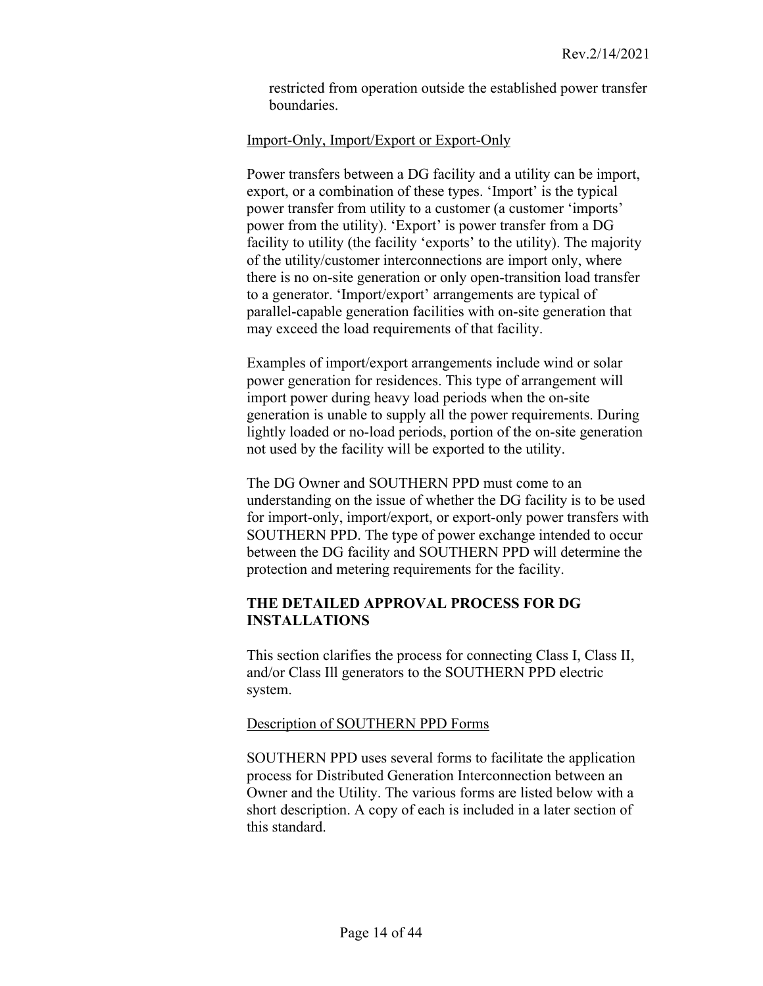<span id="page-13-0"></span>restricted from operation outside the established power transfer boundaries.

### Import-Only, Import/Export or Export-Only

Power transfers between a DG facility and a utility can be import, export, or a combination of these types. 'Import' is the typical power transfer from utility to a customer (a customer 'imports' power from the utility). 'Export' is power transfer from a DG facility to utility (the facility 'exports' to the utility). The majority of the utility/customer interconnections are import only, where there is no on-site generation or only open-transition load transfer to a generator. 'Import/export' arrangements are typical of parallel-capable generation facilities with on-site generation that may exceed the load requirements of that facility.

Examples of import/export arrangements include wind or solar power generation for residences. This type of arrangement will import power during heavy load periods when the on-site generation is unable to supply all the power requirements. During lightly loaded or no-load periods, portion of the on-site generation not used by the facility will be exported to the utility.

The DG Owner and SOUTHERN PPD must come to an understanding on the issue of whether the DG facility is to be used for import-only, import/export, or export-only power transfers with SOUTHERN PPD. The type of power exchange intended to occur between the DG facility and SOUTHERN PPD will determine the protection and metering requirements for the facility.

# <span id="page-13-1"></span>**THE DETAILED APPROVAL PROCESS FOR DG INSTALLATIONS**

This section clarifies the process for connecting Class I, Class II, and/or Class Ill generators to the SOUTHERN PPD electric system.

# <span id="page-13-2"></span>Description of SOUTHERN PPD Forms

SOUTHERN PPD uses several forms to facilitate the application process for Distributed Generation Interconnection between an Owner and the Utility. The various forms are listed below with a short description. A copy of each is included in a later section of this standard.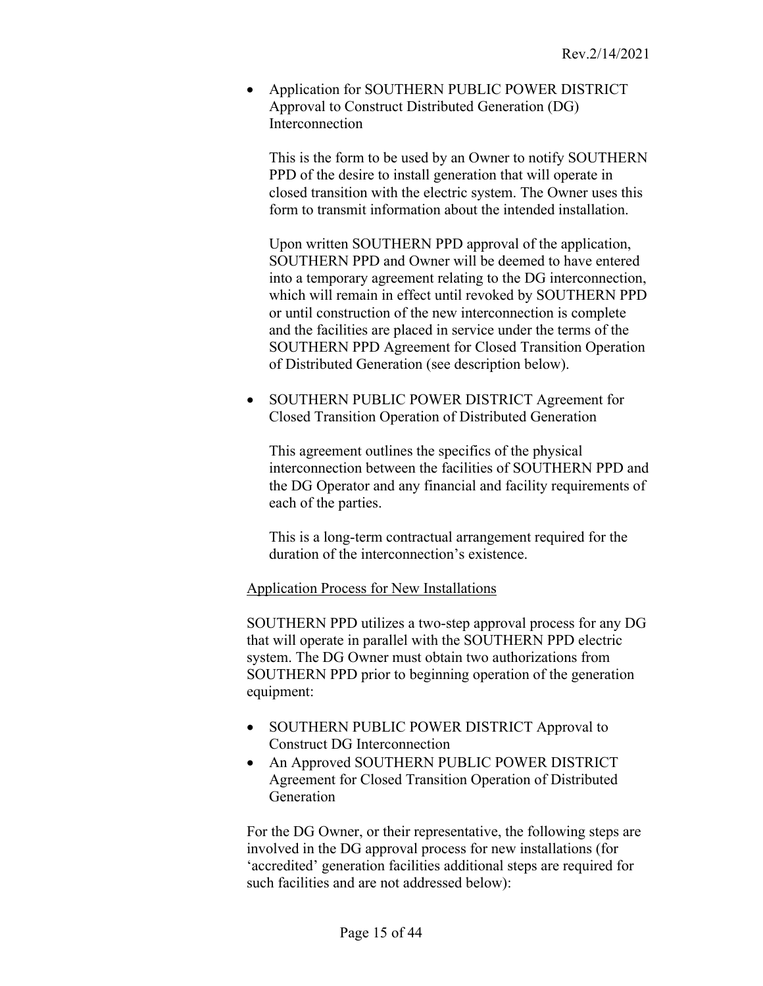• Application for SOUTHERN PUBLIC POWER DISTRICT Approval to Construct Distributed Generation (DG) Interconnection

This is the form to be used by an Owner to notify SOUTHERN PPD of the desire to install generation that will operate in closed transition with the electric system. The Owner uses this form to transmit information about the intended installation.

Upon written SOUTHERN PPD approval of the application, SOUTHERN PPD and Owner will be deemed to have entered into a temporary agreement relating to the DG interconnection, which will remain in effect until revoked by SOUTHERN PPD or until construction of the new interconnection is complete and the facilities are placed in service under the terms of the SOUTHERN PPD Agreement for Closed Transition Operation of Distributed Generation (see description below).

• SOUTHERN PUBLIC POWER DISTRICT Agreement for Closed Transition Operation of Distributed Generation

This agreement outlines the specifics of the physical interconnection between the facilities of SOUTHERN PPD and the DG Operator and any financial and facility requirements of each of the parties.

<span id="page-14-0"></span>This is a long-term contractual arrangement required for the duration of the interconnection's existence.

Application Process for New Installations

SOUTHERN PPD utilizes a two-step approval process for any DG that will operate in parallel with the SOUTHERN PPD electric system. The DG Owner must obtain two authorizations from SOUTHERN PPD prior to beginning operation of the generation equipment:

- SOUTHERN PUBLIC POWER DISTRICT Approval to Construct DG Interconnection
- An Approved SOUTHERN PUBLIC POWER DISTRICT Agreement for Closed Transition Operation of Distributed Generation

For the DG Owner, or their representative, the following steps are involved in the DG approval process for new installations (for 'accredited' generation facilities additional steps are required for such facilities and are not addressed below):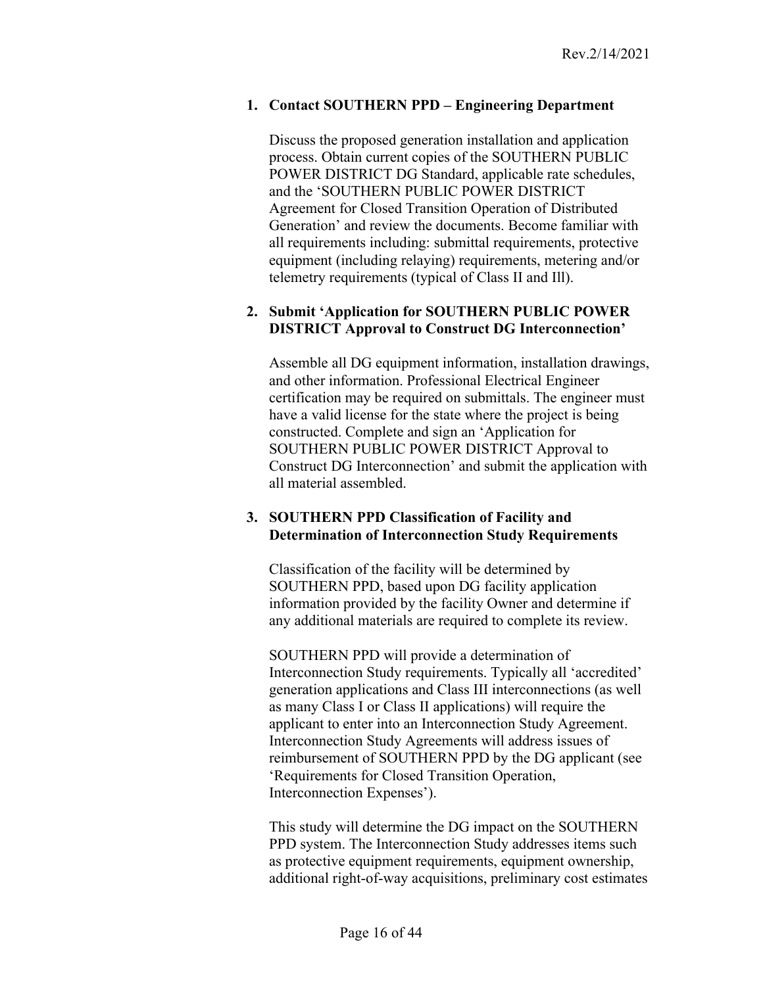# **1. Contact SOUTHERN PPD – Engineering Department**

Discuss the proposed generation installation and application process. Obtain current copies of the SOUTHERN PUBLIC POWER DISTRICT DG Standard, applicable rate schedules, and the 'SOUTHERN PUBLIC POWER DISTRICT Agreement for Closed Transition Operation of Distributed Generation' and review the documents. Become familiar with all requirements including: submittal requirements, protective equipment (including relaying) requirements, metering and/or telemetry requirements (typical of Class II and Ill).

### **2. Submit 'Application for SOUTHERN PUBLIC POWER DISTRICT Approval to Construct DG Interconnection'**

Assemble all DG equipment information, installation drawings, and other information. Professional Electrical Engineer certification may be required on submittals. The engineer must have a valid license for the state where the project is being constructed. Complete and sign an 'Application for SOUTHERN PUBLIC POWER DISTRICT Approval to Construct DG Interconnection' and submit the application with all material assembled.

### **3. SOUTHERN PPD Classification of Facility and Determination of Interconnection Study Requirements**

Classification of the facility will be determined by SOUTHERN PPD, based upon DG facility application information provided by the facility Owner and determine if any additional materials are required to complete its review.

SOUTHERN PPD will provide a determination of Interconnection Study requirements. Typically all 'accredited' generation applications and Class III interconnections (as well as many Class I or Class II applications) will require the applicant to enter into an Interconnection Study Agreement. Interconnection Study Agreements will address issues of reimbursement of SOUTHERN PPD by the DG applicant (see 'Requirements for Closed Transition Operation, Interconnection Expenses').

This study will determine the DG impact on the SOUTHERN PPD system. The Interconnection Study addresses items such as protective equipment requirements, equipment ownership, additional right-of-way acquisitions, preliminary cost estimates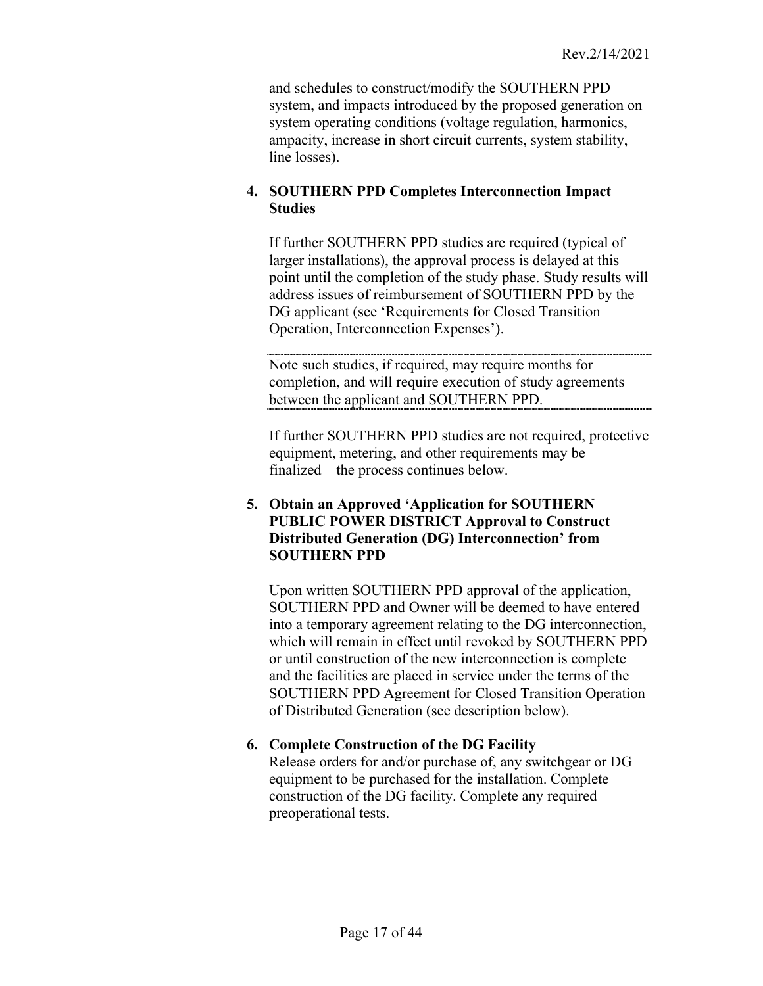and schedules to construct/modify the SOUTHERN PPD system, and impacts introduced by the proposed generation on system operating conditions (voltage regulation, harmonics, ampacity, increase in short circuit currents, system stability, line losses).

# **4. SOUTHERN PPD Completes Interconnection Impact Studies**

If further SOUTHERN PPD studies are required (typical of larger installations), the approval process is delayed at this point until the completion of the study phase. Study results will address issues of reimbursement of SOUTHERN PPD by the DG applicant (see 'Requirements for Closed Transition Operation, Interconnection Expenses').

Note such studies, if required, may require months for completion, and will require execution of study agreements between the applicant and SOUTHERN PPD.

If further SOUTHERN PPD studies are not required, protective equipment, metering, and other requirements may be finalized—the process continues below.

# **5. Obtain an Approved 'Application for SOUTHERN PUBLIC POWER DISTRICT Approval to Construct Distributed Generation (DG) Interconnection' from SOUTHERN PPD**

Upon written SOUTHERN PPD approval of the application, SOUTHERN PPD and Owner will be deemed to have entered into a temporary agreement relating to the DG interconnection, which will remain in effect until revoked by SOUTHERN PPD or until construction of the new interconnection is complete and the facilities are placed in service under the terms of the SOUTHERN PPD Agreement for Closed Transition Operation of Distributed Generation (see description below).

# **6. Complete Construction of the DG Facility**

Release orders for and/or purchase of, any switchgear or DG equipment to be purchased for the installation. Complete construction of the DG facility. Complete any required preoperational tests.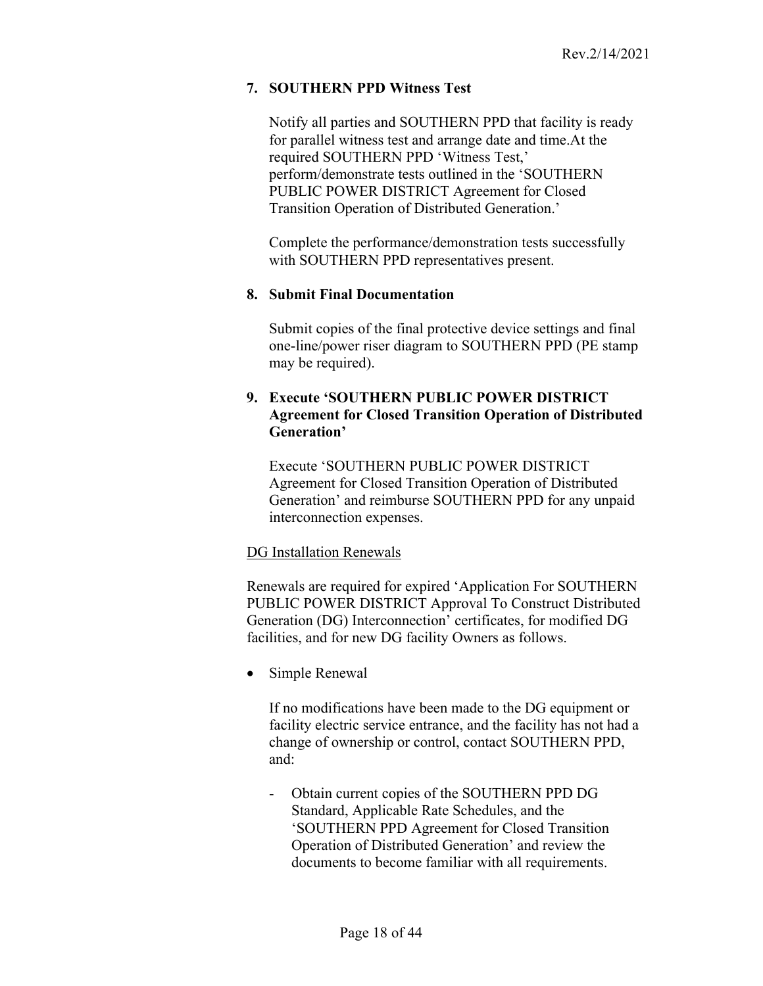# **7. SOUTHERN PPD Witness Test**

Notify all parties and SOUTHERN PPD that facility is ready for parallel witness test and arrange date and time.At the required SOUTHERN PPD 'Witness Test,' perform/demonstrate tests outlined in the 'SOUTHERN PUBLIC POWER DISTRICT Agreement for Closed Transition Operation of Distributed Generation.'

Complete the performance/demonstration tests successfully with SOUTHERN PPD representatives present.

#### **8. Submit Final Documentation**

Submit copies of the final protective device settings and final one-line/power riser diagram to SOUTHERN PPD (PE stamp may be required).

# **9. Execute 'SOUTHERN PUBLIC POWER DISTRICT Agreement for Closed Transition Operation of Distributed Generation'**

Execute 'SOUTHERN PUBLIC POWER DISTRICT Agreement for Closed Transition Operation of Distributed Generation' and reimburse SOUTHERN PPD for any unpaid interconnection expenses.

#### <span id="page-17-0"></span>DG Installation Renewals

Renewals are required for expired 'Application For SOUTHERN PUBLIC POWER DISTRICT Approval To Construct Distributed Generation (DG) Interconnection' certificates, for modified DG facilities, and for new DG facility Owners as follows.

• Simple Renewal

If no modifications have been made to the DG equipment or facility electric service entrance, and the facility has not had a change of ownership or control, contact SOUTHERN PPD, and:

- Obtain current copies of the SOUTHERN PPD DG Standard, Applicable Rate Schedules, and the 'SOUTHERN PPD Agreement for Closed Transition Operation of Distributed Generation' and review the documents to become familiar with all requirements.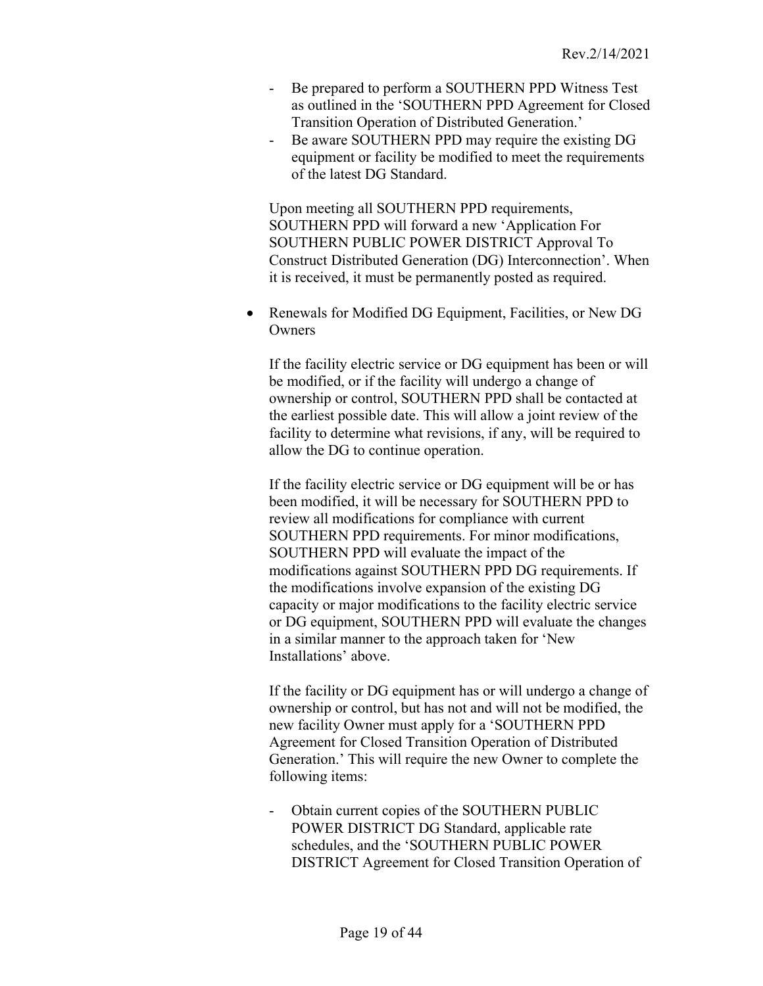- Be prepared to perform a SOUTHERN PPD Witness Test as outlined in the 'SOUTHERN PPD Agreement for Closed Transition Operation of Distributed Generation.'
- Be aware SOUTHERN PPD may require the existing DG equipment or facility be modified to meet the requirements of the latest DG Standard.

Upon meeting all SOUTHERN PPD requirements, SOUTHERN PPD will forward a new 'Application For SOUTHERN PUBLIC POWER DISTRICT Approval To Construct Distributed Generation (DG) Interconnection'. When it is received, it must be permanently posted as required.

• Renewals for Modified DG Equipment, Facilities, or New DG **Owners** 

If the facility electric service or DG equipment has been or will be modified, or if the facility will undergo a change of ownership or control, SOUTHERN PPD shall be contacted at the earliest possible date. This will allow a joint review of the facility to determine what revisions, if any, will be required to allow the DG to continue operation.

If the facility electric service or DG equipment will be or has been modified, it will be necessary for SOUTHERN PPD to review all modifications for compliance with current SOUTHERN PPD requirements. For minor modifications, SOUTHERN PPD will evaluate the impact of the modifications against SOUTHERN PPD DG requirements. If the modifications involve expansion of the existing DG capacity or major modifications to the facility electric service or DG equipment, SOUTHERN PPD will evaluate the changes in a similar manner to the approach taken for 'New Installations' above.

If the facility or DG equipment has or will undergo a change of ownership or control, but has not and will not be modified, the new facility Owner must apply for a 'SOUTHERN PPD Agreement for Closed Transition Operation of Distributed Generation.' This will require the new Owner to complete the following items:

- Obtain current copies of the SOUTHERN PUBLIC POWER DISTRICT DG Standard, applicable rate schedules, and the 'SOUTHERN PUBLIC POWER DISTRICT Agreement for Closed Transition Operation of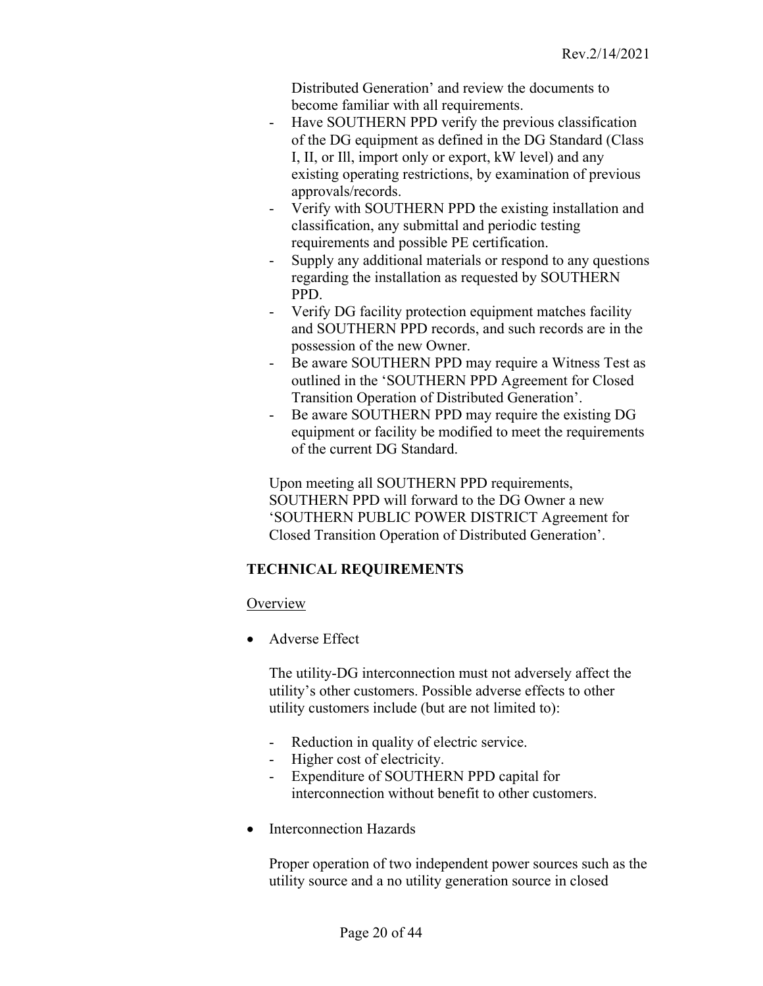Distributed Generation' and review the documents to become familiar with all requirements.

- Have SOUTHERN PPD verify the previous classification of the DG equipment as defined in the DG Standard (Class I, II, or Ill, import only or export, kW level) and any existing operating restrictions, by examination of previous approvals/records.
- Verify with SOUTHERN PPD the existing installation and classification, any submittal and periodic testing requirements and possible PE certification.
- Supply any additional materials or respond to any questions regarding the installation as requested by SOUTHERN PPD.
- Verify DG facility protection equipment matches facility and SOUTHERN PPD records, and such records are in the possession of the new Owner.
- Be aware SOUTHERN PPD may require a Witness Test as outlined in the 'SOUTHERN PPD Agreement for Closed Transition Operation of Distributed Generation'.
- Be aware SOUTHERN PPD may require the existing DG equipment or facility be modified to meet the requirements of the current DG Standard.

<span id="page-19-0"></span>Upon meeting all SOUTHERN PPD requirements, SOUTHERN PPD will forward to the DG Owner a new 'SOUTHERN PUBLIC POWER DISTRICT Agreement for Closed Transition Operation of Distributed Generation'.

# **TECHNICAL REQUIREMENTS**

# <span id="page-19-1"></span>**Overview**

• Adverse Effect

The utility-DG interconnection must not adversely affect the utility's other customers. Possible adverse effects to other utility customers include (but are not limited to):

- Reduction in quality of electric service.
- Higher cost of electricity.
- Expenditure of SOUTHERN PPD capital for interconnection without benefit to other customers.
- Interconnection Hazards

Proper operation of two independent power sources such as the utility source and a no utility generation source in closed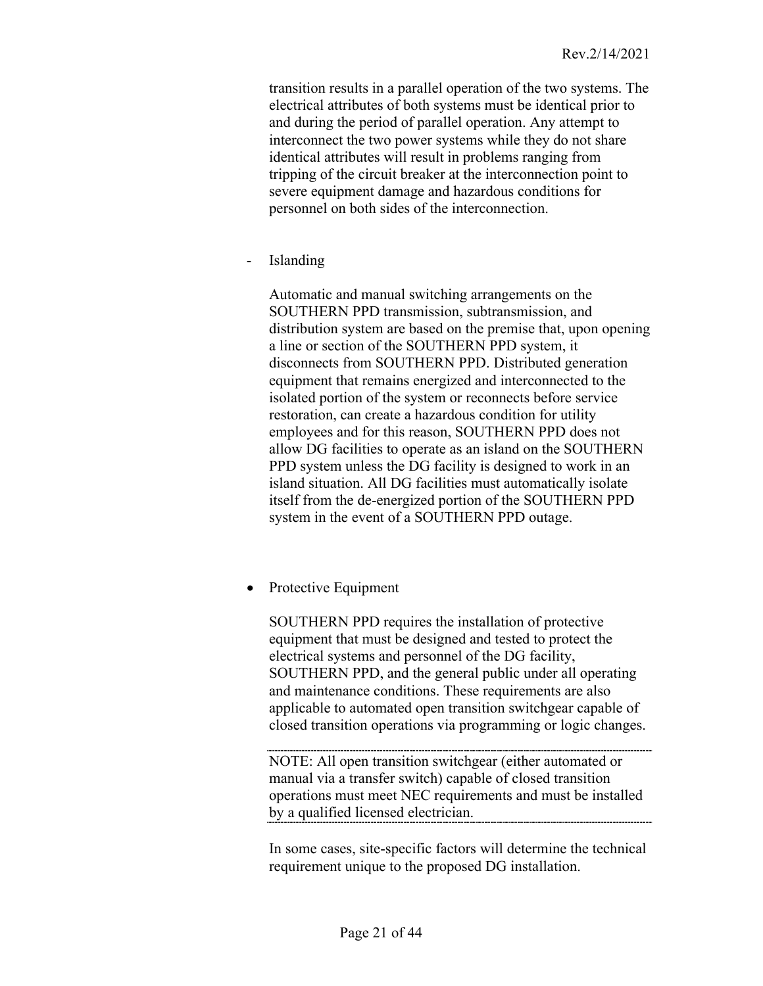transition results in a parallel operation of the two systems. The electrical attributes of both systems must be identical prior to and during the period of parallel operation. Any attempt to interconnect the two power systems while they do not share identical attributes will result in problems ranging from tripping of the circuit breaker at the interconnection point to severe equipment damage and hazardous conditions for personnel on both sides of the interconnection.

**Islanding** 

Automatic and manual switching arrangements on the SOUTHERN PPD transmission, subtransmission, and distribution system are based on the premise that, upon opening a line or section of the SOUTHERN PPD system, it disconnects from SOUTHERN PPD. Distributed generation equipment that remains energized and interconnected to the isolated portion of the system or reconnects before service restoration, can create a hazardous condition for utility employees and for this reason, SOUTHERN PPD does not allow DG facilities to operate as an island on the SOUTHERN PPD system unless the DG facility is designed to work in an island situation. All DG facilities must automatically isolate itself from the de-energized portion of the SOUTHERN PPD system in the event of a SOUTHERN PPD outage.

• Protective Equipment

SOUTHERN PPD requires the installation of protective equipment that must be designed and tested to protect the electrical systems and personnel of the DG facility, SOUTHERN PPD, and the general public under all operating and maintenance conditions. These requirements are also applicable to automated open transition switchgear capable of closed transition operations via programming or logic changes.

NOTE: All open transition switchgear (either automated or manual via a transfer switch) capable of closed transition operations must meet NEC requirements and must be installed by a qualified licensed electrician.

In some cases, site-specific factors will determine the technical requirement unique to the proposed DG installation.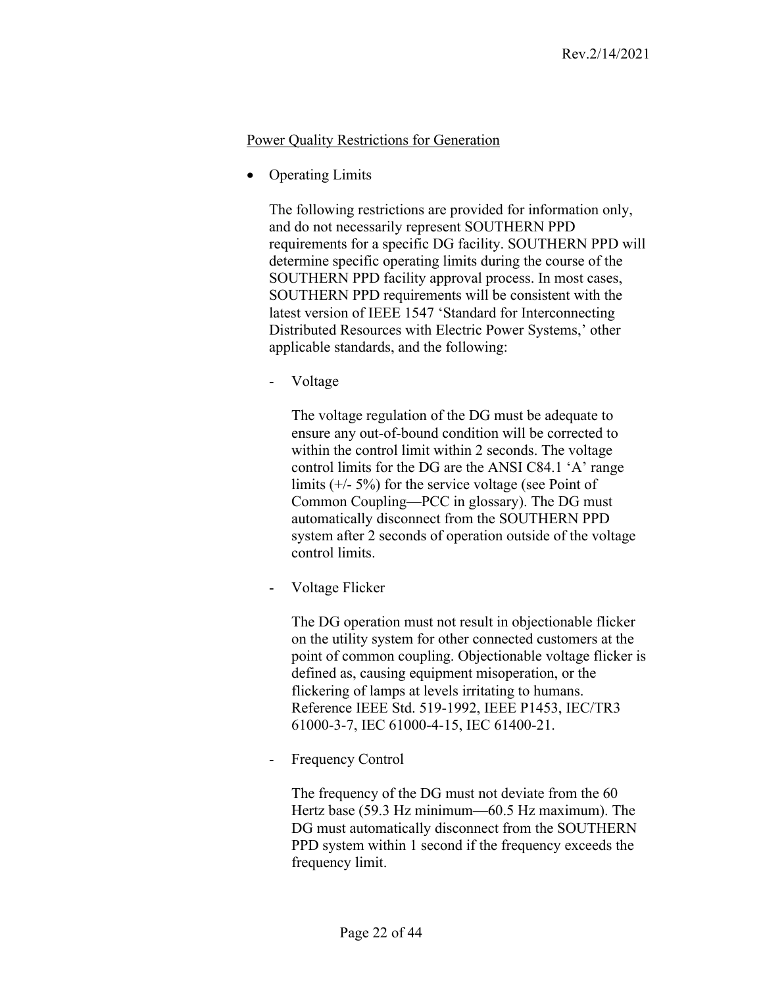### Power Quality Restrictions for Generation

**Operating Limits** 

<span id="page-21-0"></span>The following restrictions are provided for information only, and do not necessarily represent SOUTHERN PPD requirements for a specific DG facility. SOUTHERN PPD will determine specific operating limits during the course of the SOUTHERN PPD facility approval process. In most cases, SOUTHERN PPD requirements will be consistent with the latest version of IEEE 1547 'Standard for Interconnecting Distributed Resources with Electric Power Systems,' other applicable standards, and the following:

- Voltage

The voltage regulation of the DG must be adequate to ensure any out-of-bound condition will be corrected to within the control limit within 2 seconds. The voltage control limits for the DG are the ANSI C84.1 'A' range limits  $(+/- 5%)$  for the service voltage (see Point of Common Coupling—PCC in glossary). The DG must automatically disconnect from the SOUTHERN PPD system after 2 seconds of operation outside of the voltage control limits.

Voltage Flicker

The DG operation must not result in objectionable flicker on the utility system for other connected customers at the point of common coupling. Objectionable voltage flicker is defined as, causing equipment misoperation, or the flickering of lamps at levels irritating to humans. Reference IEEE Std. 519-1992, IEEE P1453, IEC/TR3 61000-3-7, IEC 61000-4-15, IEC 61400-21.

Frequency Control

The frequency of the DG must not deviate from the 60 Hertz base (59.3 Hz minimum—60.5 Hz maximum). The DG must automatically disconnect from the SOUTHERN PPD system within 1 second if the frequency exceeds the frequency limit.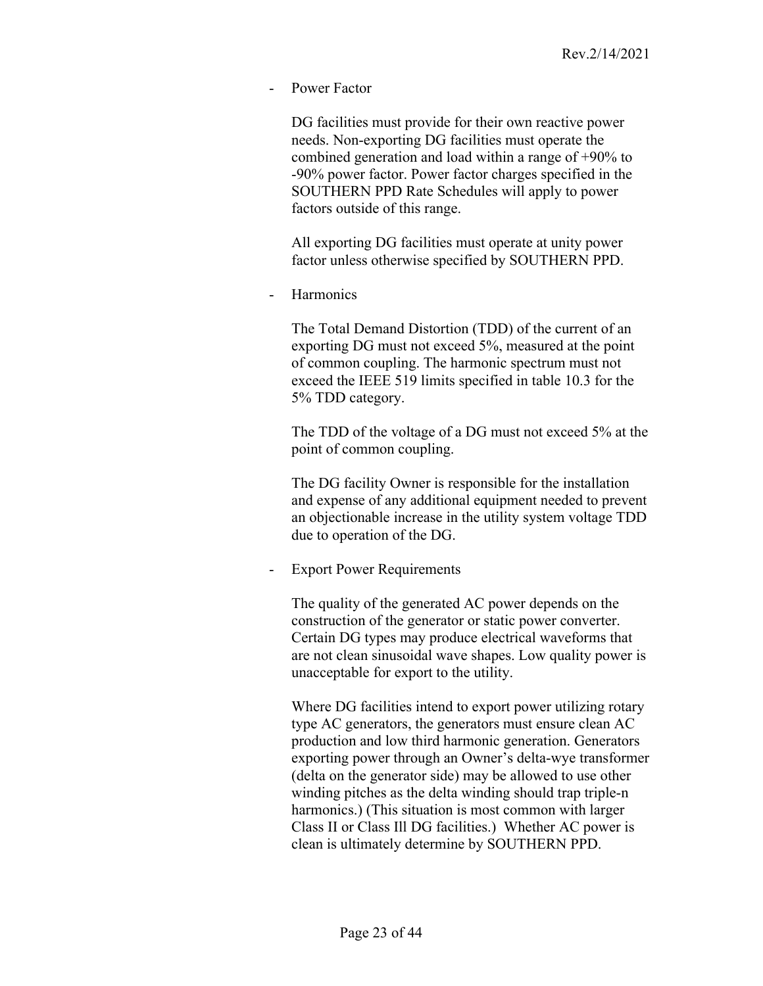Power Factor

DG facilities must provide for their own reactive power needs. Non-exporting DG facilities must operate the combined generation and load within a range of +90% to -90% power factor. Power factor charges specified in the SOUTHERN PPD Rate Schedules will apply to power factors outside of this range.

All exporting DG facilities must operate at unity power factor unless otherwise specified by SOUTHERN PPD.

**Harmonics** 

The Total Demand Distortion (TDD) of the current of an exporting DG must not exceed 5%, measured at the point of common coupling. The harmonic spectrum must not exceed the IEEE 519 limits specified in table 10.3 for the 5% TDD category.

The TDD of the voltage of a DG must not exceed 5% at the point of common coupling.

The DG facility Owner is responsible for the installation and expense of any additional equipment needed to prevent an objectionable increase in the utility system voltage TDD due to operation of the DG.

**Export Power Requirements** 

The quality of the generated AC power depends on the construction of the generator or static power converter. Certain DG types may produce electrical waveforms that are not clean sinusoidal wave shapes. Low quality power is unacceptable for export to the utility.

Where DG facilities intend to export power utilizing rotary type AC generators, the generators must ensure clean AC production and low third harmonic generation. Generators exporting power through an Owner's delta-wye transformer (delta on the generator side) may be allowed to use other winding pitches as the delta winding should trap triple-n harmonics.) (This situation is most common with larger Class II or Class Ill DG facilities.) Whether AC power is clean is ultimately determine by SOUTHERN PPD.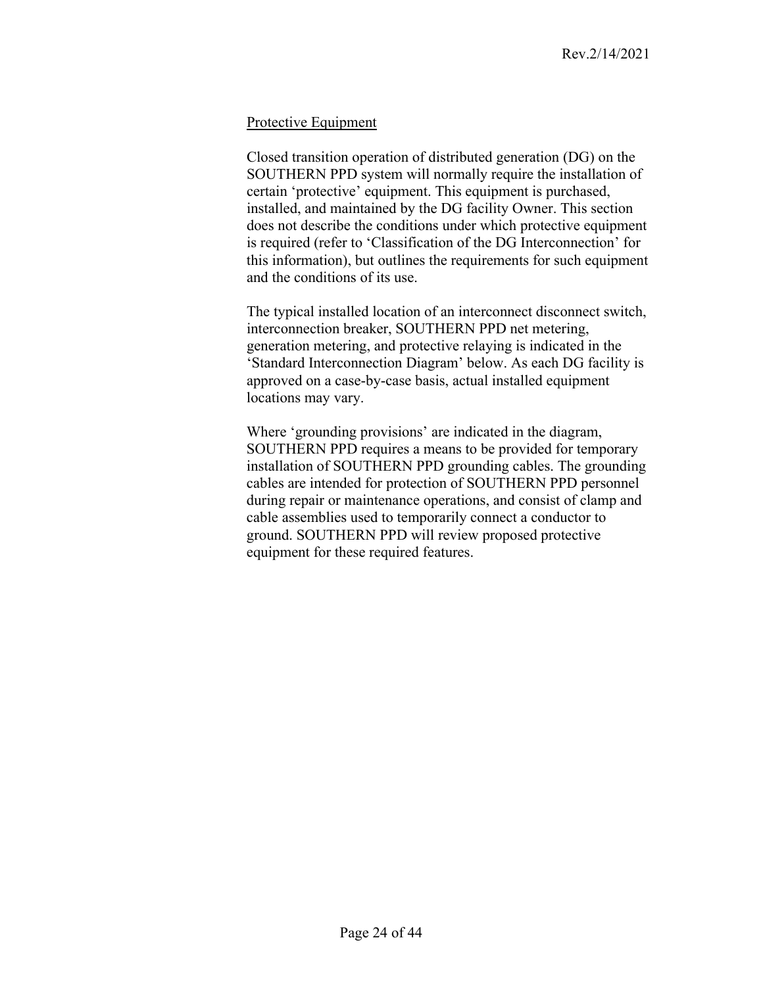### <span id="page-23-0"></span>Protective Equipment

Closed transition operation of distributed generation (DG) on the SOUTHERN PPD system will normally require the installation of certain 'protective' equipment. This equipment is purchased, installed, and maintained by the DG facility Owner. This section does not describe the conditions under which protective equipment is required (refer to 'Classification of the DG Interconnection' for this information), but outlines the requirements for such equipment and the conditions of its use.

The typical installed location of an interconnect disconnect switch, interconnection breaker, SOUTHERN PPD net metering, generation metering, and protective relaying is indicated in the 'Standard Interconnection Diagram' below. As each DG facility is approved on a case-by-case basis, actual installed equipment locations may vary.

Where 'grounding provisions' are indicated in the diagram, SOUTHERN PPD requires a means to be provided for temporary installation of SOUTHERN PPD grounding cables. The grounding cables are intended for protection of SOUTHERN PPD personnel during repair or maintenance operations, and consist of clamp and cable assemblies used to temporarily connect a conductor to ground. SOUTHERN PPD will review proposed protective equipment for these required features.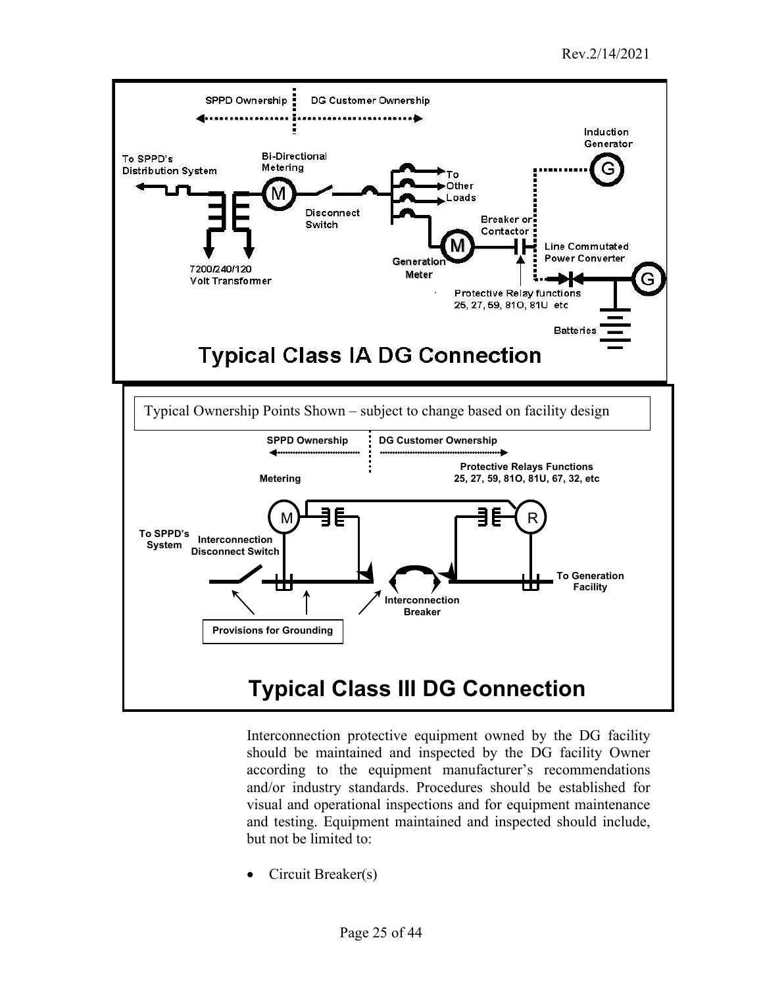

Interconnection protective equipment owned by the DG facility should be maintained and inspected by the DG facility Owner according to the equipment manufacturer's recommendations and/or industry standards. Procedures should be established for visual and operational inspections and for equipment maintenance and testing. Equipment maintained and inspected should include, but not be limited to:

• Circuit Breaker(s)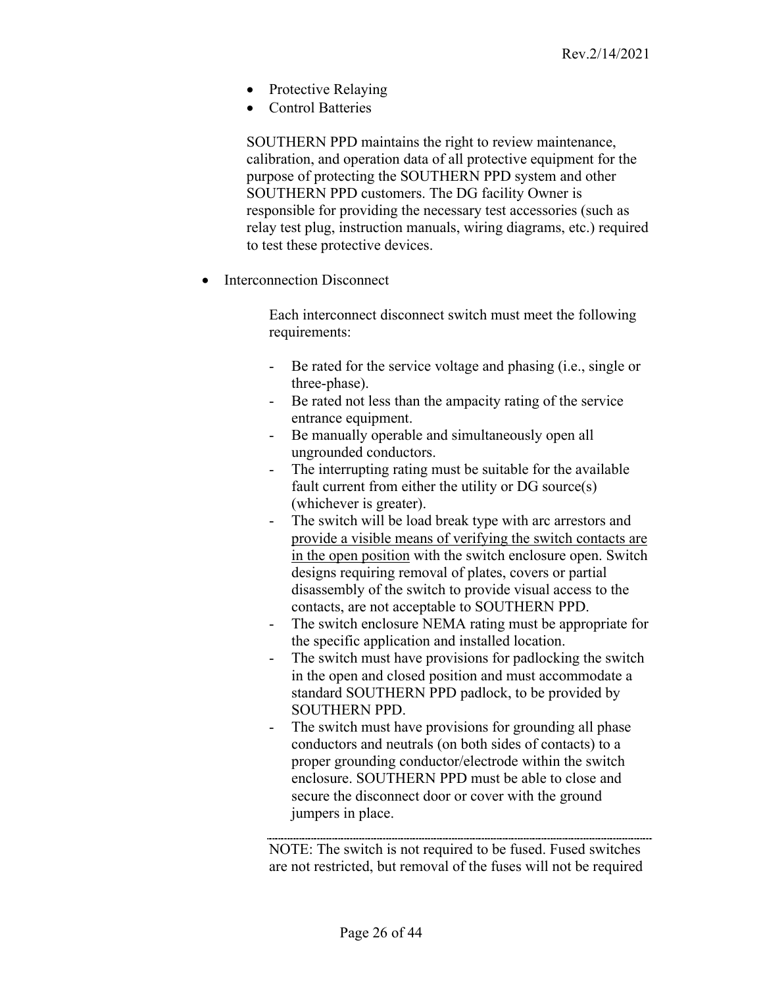- Protective Relaying
- Control Batteries

SOUTHERN PPD maintains the right to review maintenance, calibration, and operation data of all protective equipment for the purpose of protecting the SOUTHERN PPD system and other SOUTHERN PPD customers. The DG facility Owner is responsible for providing the necessary test accessories (such as relay test plug, instruction manuals, wiring diagrams, etc.) required to test these protective devices.

Interconnection Disconnect

Each interconnect disconnect switch must meet the following requirements:

- Be rated for the service voltage and phasing (i.e., single or three-phase).
- Be rated not less than the ampacity rating of the service entrance equipment.
- Be manually operable and simultaneously open all ungrounded conductors.
- The interrupting rating must be suitable for the available fault current from either the utility or DG source(s) (whichever is greater).
- The switch will be load break type with arc arrestors and provide a visible means of verifying the switch contacts are in the open position with the switch enclosure open. Switch designs requiring removal of plates, covers or partial disassembly of the switch to provide visual access to the contacts, are not acceptable to SOUTHERN PPD.
- The switch enclosure NEMA rating must be appropriate for the specific application and installed location.
- The switch must have provisions for padlocking the switch in the open and closed position and must accommodate a standard SOUTHERN PPD padlock, to be provided by SOUTHERN PPD.
- The switch must have provisions for grounding all phase conductors and neutrals (on both sides of contacts) to a proper grounding conductor/electrode within the switch enclosure. SOUTHERN PPD must be able to close and secure the disconnect door or cover with the ground jumpers in place.

NOTE: The switch is not required to be fused. Fused switches are not restricted, but removal of the fuses will not be required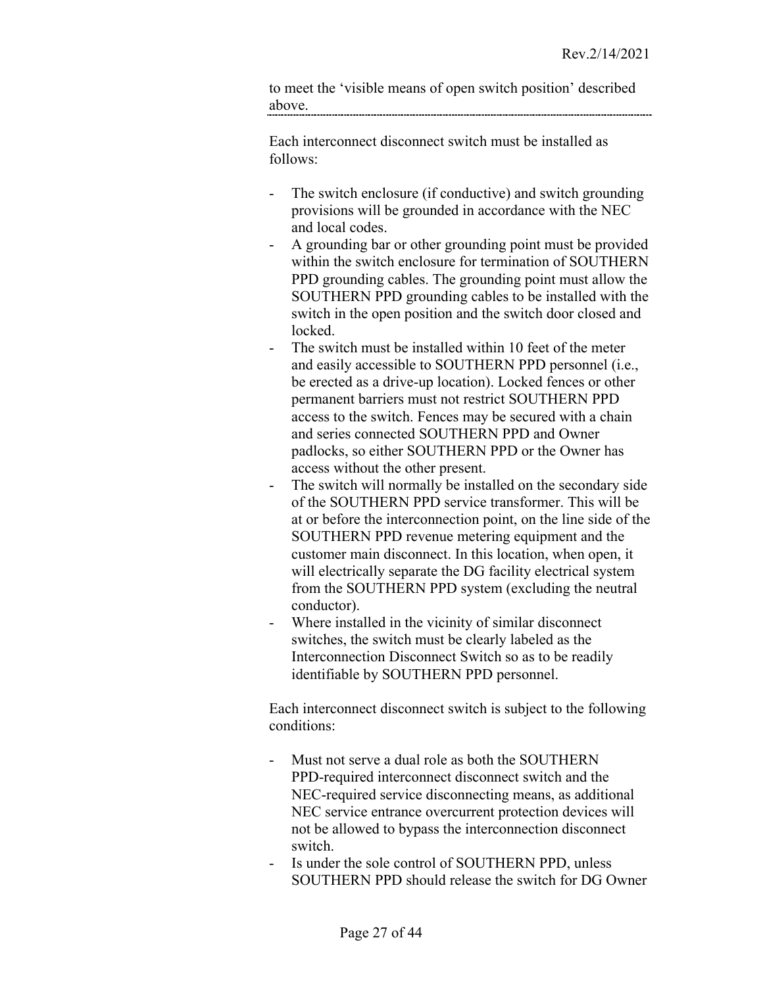to meet the 'visible means of open switch position' described above.

Each interconnect disconnect switch must be installed as follows:

- The switch enclosure (if conductive) and switch grounding provisions will be grounded in accordance with the NEC and local codes.
- A grounding bar or other grounding point must be provided within the switch enclosure for termination of SOUTHERN PPD grounding cables. The grounding point must allow the SOUTHERN PPD grounding cables to be installed with the switch in the open position and the switch door closed and locked.
- The switch must be installed within 10 feet of the meter and easily accessible to SOUTHERN PPD personnel (i.e., be erected as a drive-up location). Locked fences or other permanent barriers must not restrict SOUTHERN PPD access to the switch. Fences may be secured with a chain and series connected SOUTHERN PPD and Owner padlocks, so either SOUTHERN PPD or the Owner has access without the other present.
- The switch will normally be installed on the secondary side of the SOUTHERN PPD service transformer. This will be at or before the interconnection point, on the line side of the SOUTHERN PPD revenue metering equipment and the customer main disconnect. In this location, when open, it will electrically separate the DG facility electrical system from the SOUTHERN PPD system (excluding the neutral conductor).
- Where installed in the vicinity of similar disconnect switches, the switch must be clearly labeled as the Interconnection Disconnect Switch so as to be readily identifiable by SOUTHERN PPD personnel.

Each interconnect disconnect switch is subject to the following conditions:

- Must not serve a dual role as both the SOUTHERN PPD-required interconnect disconnect switch and the NEC-required service disconnecting means, as additional NEC service entrance overcurrent protection devices will not be allowed to bypass the interconnection disconnect switch.
- Is under the sole control of SOUTHERN PPD, unless SOUTHERN PPD should release the switch for DG Owner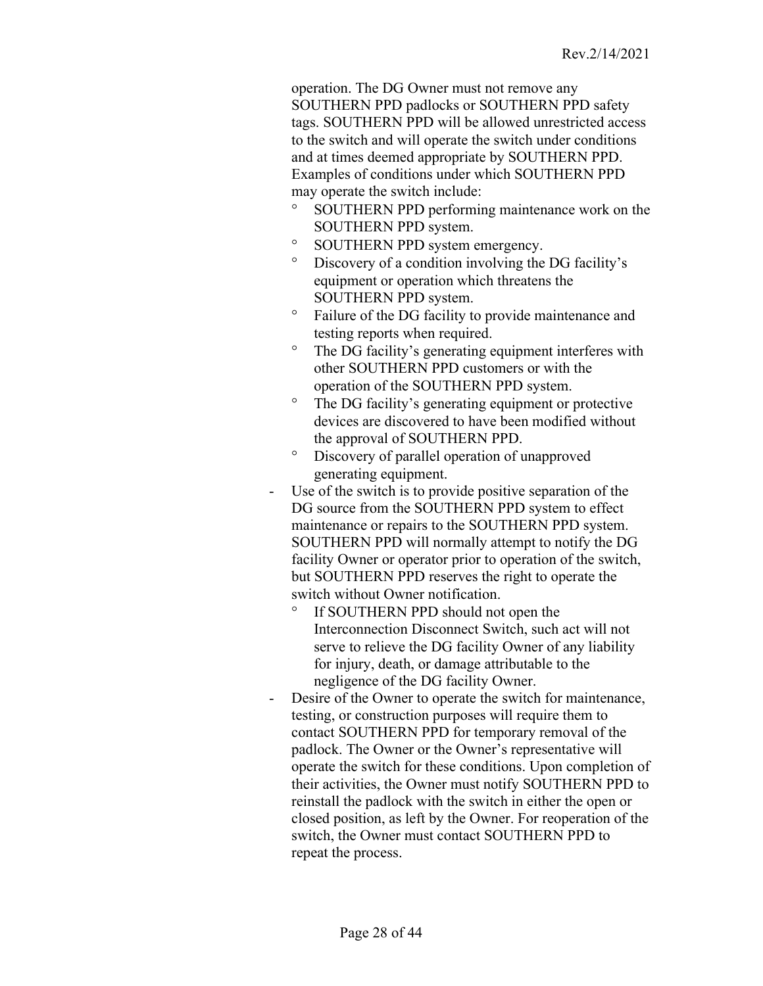operation. The DG Owner must not remove any SOUTHERN PPD padlocks or SOUTHERN PPD safety tags. SOUTHERN PPD will be allowed unrestricted access to the switch and will operate the switch under conditions and at times deemed appropriate by SOUTHERN PPD. Examples of conditions under which SOUTHERN PPD may operate the switch include:

- ° SOUTHERN PPD performing maintenance work on the SOUTHERN PPD system.
- ° SOUTHERN PPD system emergency.
- ° Discovery of a condition involving the DG facility's equipment or operation which threatens the SOUTHERN PPD system.
- ° Failure of the DG facility to provide maintenance and testing reports when required.
- ° The DG facility's generating equipment interferes with other SOUTHERN PPD customers or with the operation of the SOUTHERN PPD system.
- ° The DG facility's generating equipment or protective devices are discovered to have been modified without the approval of SOUTHERN PPD.
- ° Discovery of parallel operation of unapproved generating equipment.
- Use of the switch is to provide positive separation of the DG source from the SOUTHERN PPD system to effect maintenance or repairs to the SOUTHERN PPD system. SOUTHERN PPD will normally attempt to notify the DG facility Owner or operator prior to operation of the switch, but SOUTHERN PPD reserves the right to operate the switch without Owner notification.
	- ° If SOUTHERN PPD should not open the Interconnection Disconnect Switch, such act will not serve to relieve the DG facility Owner of any liability for injury, death, or damage attributable to the negligence of the DG facility Owner.
- Desire of the Owner to operate the switch for maintenance, testing, or construction purposes will require them to contact SOUTHERN PPD for temporary removal of the padlock. The Owner or the Owner's representative will operate the switch for these conditions. Upon completion of their activities, the Owner must notify SOUTHERN PPD to reinstall the padlock with the switch in either the open or closed position, as left by the Owner. For reoperation of the switch, the Owner must contact SOUTHERN PPD to repeat the process.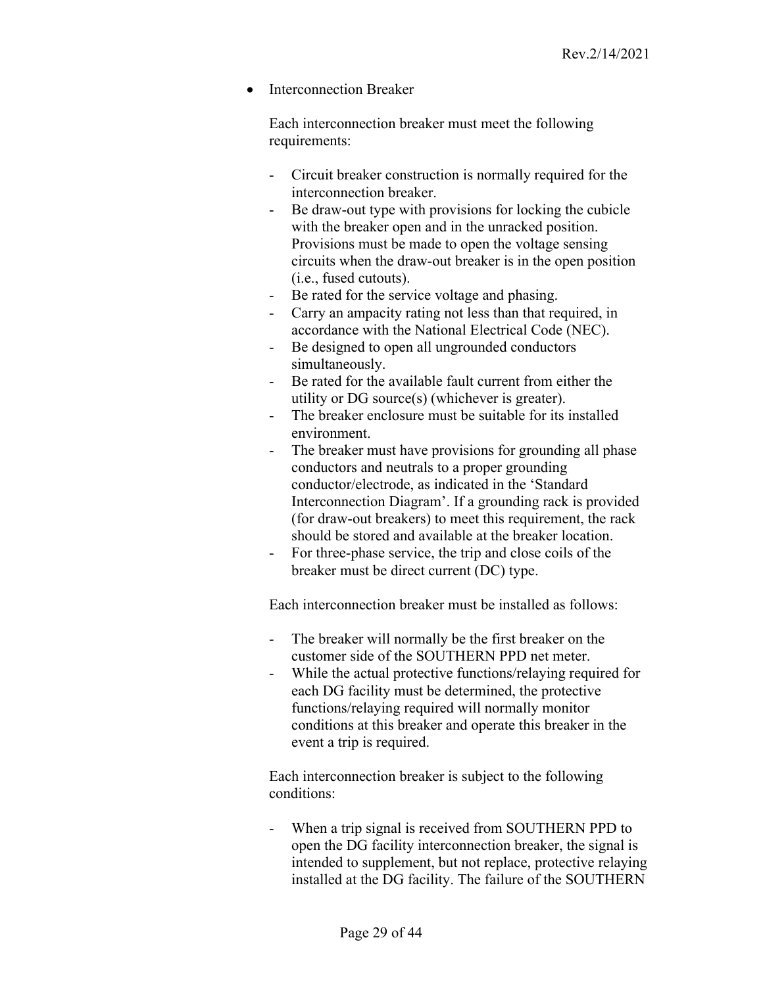• Interconnection Breaker

Each interconnection breaker must meet the following requirements:

- Circuit breaker construction is normally required for the interconnection breaker.
- Be draw-out type with provisions for locking the cubicle with the breaker open and in the unracked position. Provisions must be made to open the voltage sensing circuits when the draw-out breaker is in the open position (i.e., fused cutouts).
- Be rated for the service voltage and phasing.
- Carry an ampacity rating not less than that required, in accordance with the National Electrical Code (NEC).
- Be designed to open all ungrounded conductors simultaneously.
- Be rated for the available fault current from either the utility or DG source(s) (whichever is greater).
- The breaker enclosure must be suitable for its installed environment.
- The breaker must have provisions for grounding all phase conductors and neutrals to a proper grounding conductor/electrode, as indicated in the 'Standard Interconnection Diagram'. If a grounding rack is provided (for draw-out breakers) to meet this requirement, the rack should be stored and available at the breaker location.
- For three-phase service, the trip and close coils of the breaker must be direct current (DC) type.

Each interconnection breaker must be installed as follows:

- The breaker will normally be the first breaker on the customer side of the SOUTHERN PPD net meter.
- While the actual protective functions/relaying required for each DG facility must be determined, the protective functions/relaying required will normally monitor conditions at this breaker and operate this breaker in the event a trip is required.

Each interconnection breaker is subject to the following conditions:

When a trip signal is received from SOUTHERN PPD to open the DG facility interconnection breaker, the signal is intended to supplement, but not replace, protective relaying installed at the DG facility. The failure of the SOUTHERN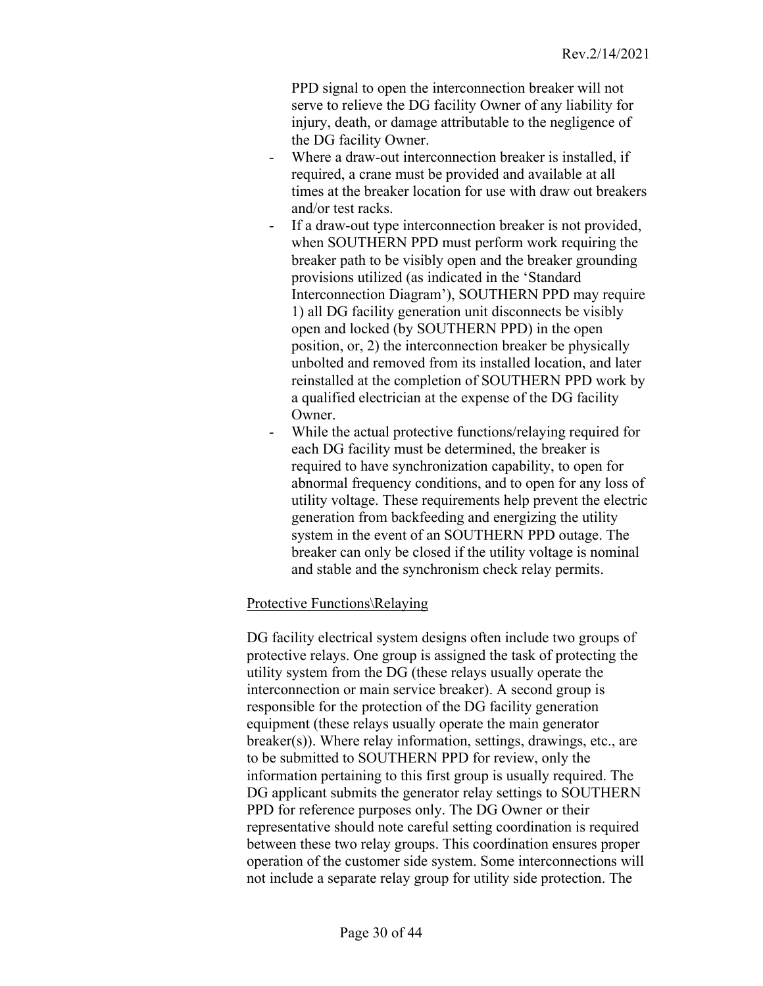PPD signal to open the interconnection breaker will not serve to relieve the DG facility Owner of any liability for injury, death, or damage attributable to the negligence of the DG facility Owner.

- Where a draw-out interconnection breaker is installed, if required, a crane must be provided and available at all times at the breaker location for use with draw out breakers and/or test racks.
- If a draw-out type interconnection breaker is not provided, when SOUTHERN PPD must perform work requiring the breaker path to be visibly open and the breaker grounding provisions utilized (as indicated in the 'Standard Interconnection Diagram'), SOUTHERN PPD may require 1) all DG facility generation unit disconnects be visibly open and locked (by SOUTHERN PPD) in the open position, or, 2) the interconnection breaker be physically unbolted and removed from its installed location, and later reinstalled at the completion of SOUTHERN PPD work by a qualified electrician at the expense of the DG facility Owner.
- While the actual protective functions/relaying required for each DG facility must be determined, the breaker is required to have synchronization capability, to open for abnormal frequency conditions, and to open for any loss of utility voltage. These requirements help prevent the electric generation from backfeeding and energizing the utility system in the event of an SOUTHERN PPD outage. The breaker can only be closed if the utility voltage is nominal and stable and the synchronism check relay permits.

#### <span id="page-29-0"></span>Protective Functions\Relaying

DG facility electrical system designs often include two groups of protective relays. One group is assigned the task of protecting the utility system from the DG (these relays usually operate the interconnection or main service breaker). A second group is responsible for the protection of the DG facility generation equipment (these relays usually operate the main generator breaker(s)). Where relay information, settings, drawings, etc., are to be submitted to SOUTHERN PPD for review, only the information pertaining to this first group is usually required. The DG applicant submits the generator relay settings to SOUTHERN PPD for reference purposes only. The DG Owner or their representative should note careful setting coordination is required between these two relay groups. This coordination ensures proper operation of the customer side system. Some interconnections will not include a separate relay group for utility side protection. The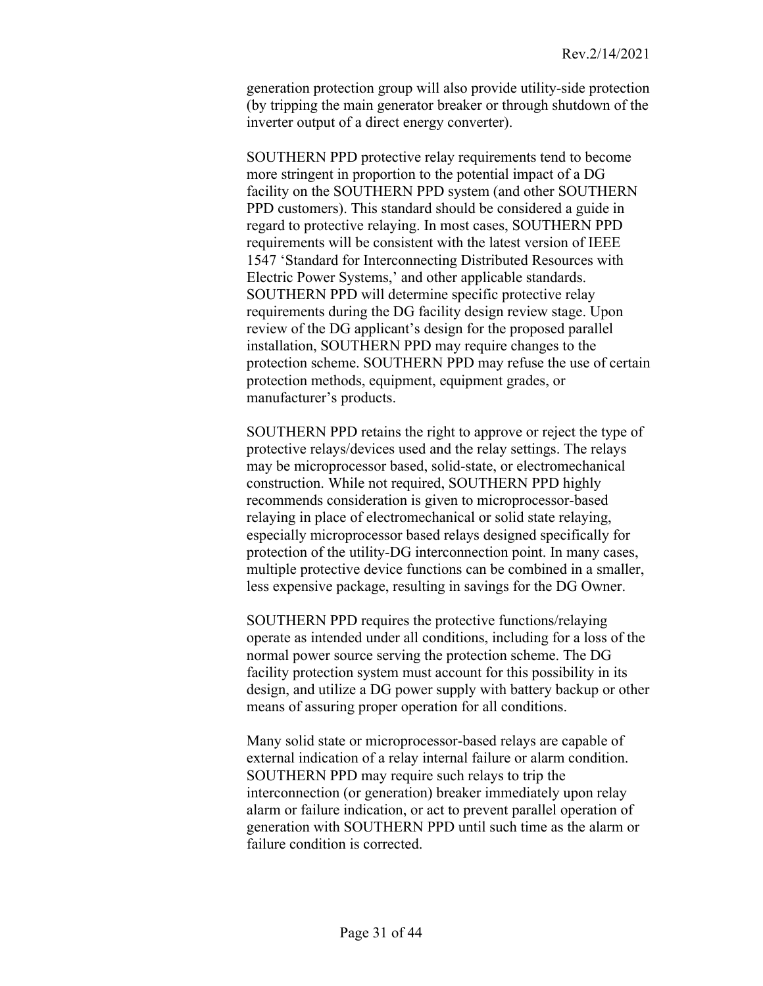generation protection group will also provide utility-side protection (by tripping the main generator breaker or through shutdown of the inverter output of a direct energy converter).

SOUTHERN PPD protective relay requirements tend to become more stringent in proportion to the potential impact of a DG facility on the SOUTHERN PPD system (and other SOUTHERN PPD customers). This standard should be considered a guide in regard to protective relaying. In most cases, SOUTHERN PPD requirements will be consistent with the latest version of IEEE 1547 'Standard for Interconnecting Distributed Resources with Electric Power Systems,' and other applicable standards. SOUTHERN PPD will determine specific protective relay requirements during the DG facility design review stage. Upon review of the DG applicant's design for the proposed parallel installation, SOUTHERN PPD may require changes to the protection scheme. SOUTHERN PPD may refuse the use of certain protection methods, equipment, equipment grades, or manufacturer's products.

SOUTHERN PPD retains the right to approve or reject the type of protective relays/devices used and the relay settings. The relays may be microprocessor based, solid-state, or electromechanical construction. While not required, SOUTHERN PPD highly recommends consideration is given to microprocessor-based relaying in place of electromechanical or solid state relaying, especially microprocessor based relays designed specifically for protection of the utility-DG interconnection point. In many cases, multiple protective device functions can be combined in a smaller, less expensive package, resulting in savings for the DG Owner.

SOUTHERN PPD requires the protective functions/relaying operate as intended under all conditions, including for a loss of the normal power source serving the protection scheme. The DG facility protection system must account for this possibility in its design, and utilize a DG power supply with battery backup or other means of assuring proper operation for all conditions.

Many solid state or microprocessor-based relays are capable of external indication of a relay internal failure or alarm condition. SOUTHERN PPD may require such relays to trip the interconnection (or generation) breaker immediately upon relay alarm or failure indication, or act to prevent parallel operation of generation with SOUTHERN PPD until such time as the alarm or failure condition is corrected.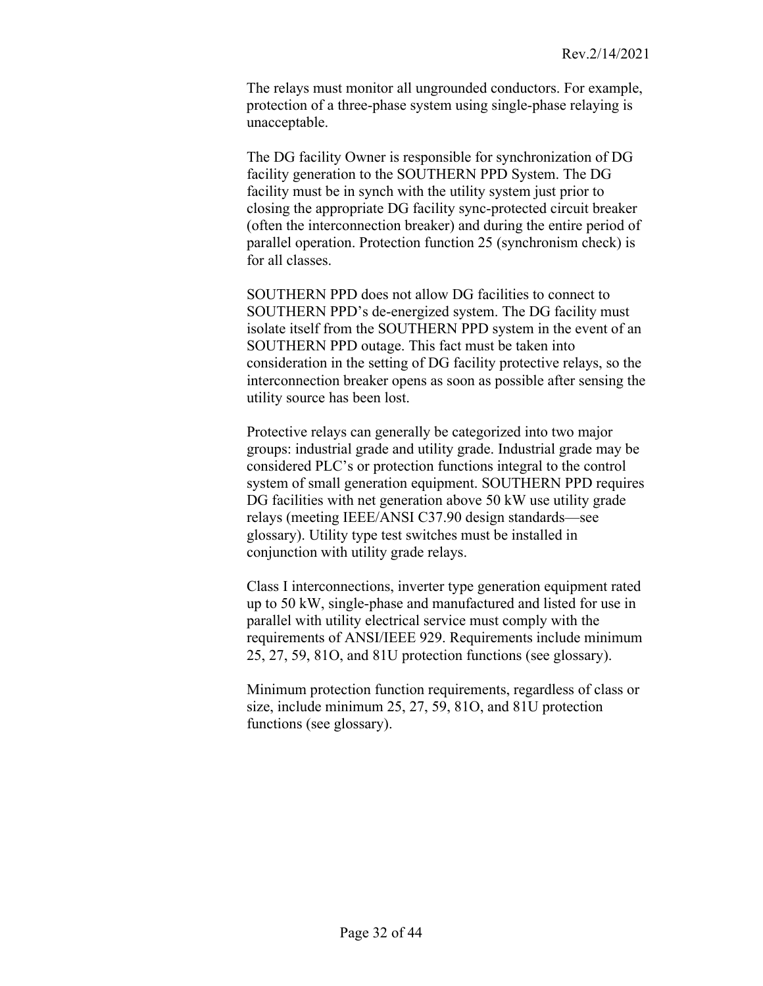The relays must monitor all ungrounded conductors. For example, protection of a three-phase system using single-phase relaying is unacceptable.

The DG facility Owner is responsible for synchronization of DG facility generation to the SOUTHERN PPD System. The DG facility must be in synch with the utility system just prior to closing the appropriate DG facility sync-protected circuit breaker (often the interconnection breaker) and during the entire period of parallel operation. Protection function 25 (synchronism check) is for all classes.

SOUTHERN PPD does not allow DG facilities to connect to SOUTHERN PPD's de-energized system. The DG facility must isolate itself from the SOUTHERN PPD system in the event of an SOUTHERN PPD outage. This fact must be taken into consideration in the setting of DG facility protective relays, so the interconnection breaker opens as soon as possible after sensing the utility source has been lost.

Protective relays can generally be categorized into two major groups: industrial grade and utility grade. Industrial grade may be considered PLC's or protection functions integral to the control system of small generation equipment. SOUTHERN PPD requires DG facilities with net generation above 50 kW use utility grade relays (meeting IEEE/ANSI C37.90 design standards—see glossary). Utility type test switches must be installed in conjunction with utility grade relays.

Class I interconnections, inverter type generation equipment rated up to 50 kW, single-phase and manufactured and listed for use in parallel with utility electrical service must comply with the requirements of ANSI/IEEE 929. Requirements include minimum 25, 27, 59, 81O, and 81U protection functions (see glossary).

Minimum protection function requirements, regardless of class or size, include minimum 25, 27, 59, 81O, and 81U protection functions (see glossary).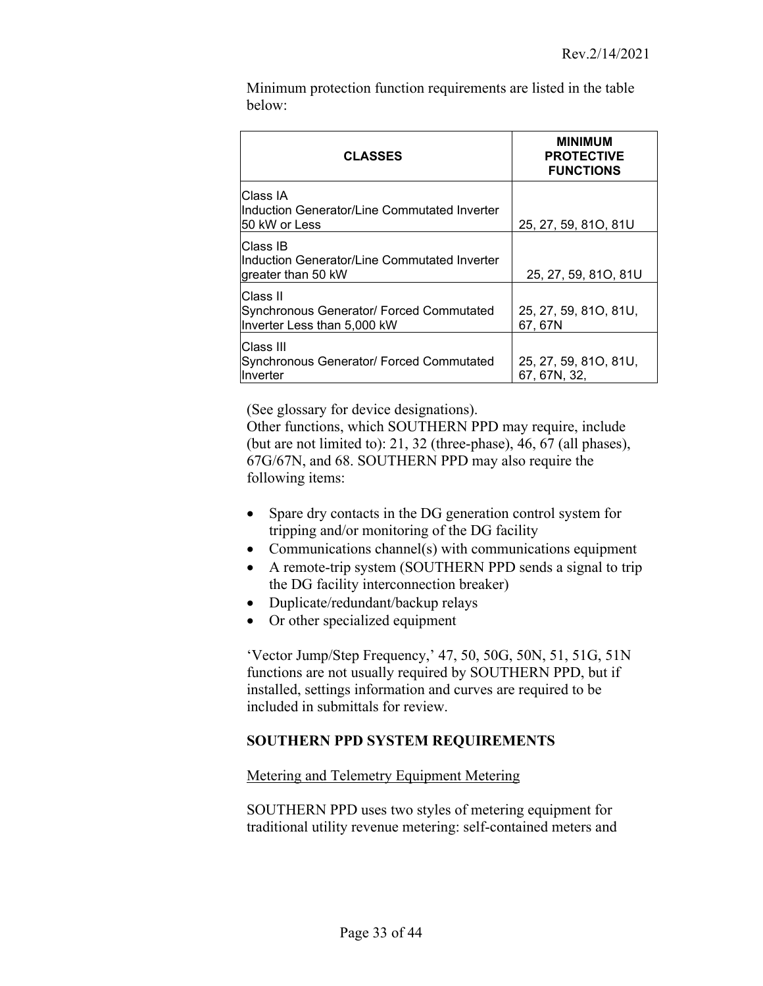Minimum protection function requirements are listed in the table below:

| <b>CLASSES</b>                                                                      | <b>MINIMUM</b><br><b>PROTECTIVE</b><br><b>FUNCTIONS</b> |
|-------------------------------------------------------------------------------------|---------------------------------------------------------|
| Class IA<br>Induction Generator/Line Commutated Inverter<br>50 kW or Less           | 25, 27, 59, 81O, 81U                                    |
| Class IB<br>Induction Generator/Line Commutated Inverter<br>greater than 50 kW      | 25, 27, 59, 81O, 81U                                    |
| Class II<br>Synchronous Generator/ Forced Commutated<br>Inverter Less than 5,000 kW | 25, 27, 59, 81O, 81U,<br>67, 67N                        |
| Class III<br>Synchronous Generator/ Forced Commutated<br>Inverter                   | 25, 27, 59, 81O, 81U,<br>67, 67N, 32,                   |

(See glossary for device designations).

Other functions, which SOUTHERN PPD may require, include (but are not limited to): 21, 32 (three-phase), 46, 67 (all phases), 67G/67N, and 68. SOUTHERN PPD may also require the following items:

- Spare dry contacts in the DG generation control system for tripping and/or monitoring of the DG facility
- Communications channel(s) with communications equipment
- A remote-trip system (SOUTHERN PPD sends a signal to trip the DG facility interconnection breaker)
- Duplicate/redundant/backup relays
- Or other specialized equipment

'Vector Jump/Step Frequency,' 47, 50, 50G, 50N, 51, 51G, 51N functions are not usually required by SOUTHERN PPD, but if installed, settings information and curves are required to be included in submittals for review.

# <span id="page-32-0"></span>**SOUTHERN PPD SYSTEM REQUIREMENTS**

# <span id="page-32-1"></span>Metering and Telemetry Equipment Metering

SOUTHERN PPD uses two styles of metering equipment for traditional utility revenue metering: self-contained meters and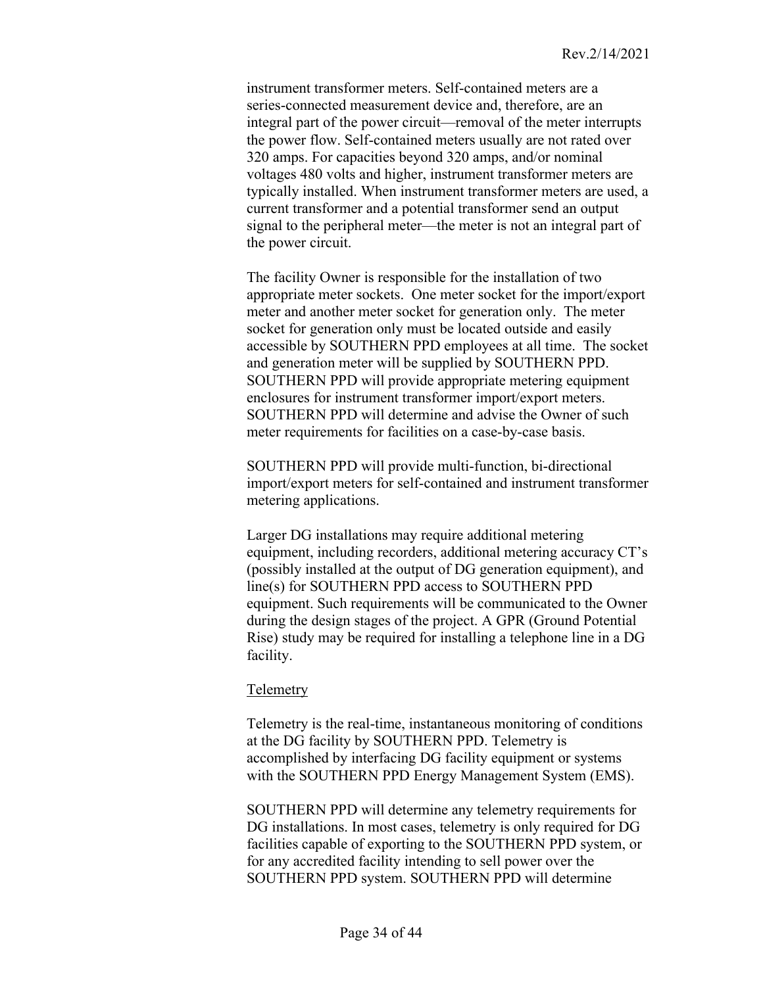instrument transformer meters. Self-contained meters are a series-connected measurement device and, therefore, are an integral part of the power circuit—removal of the meter interrupts the power flow. Self-contained meters usually are not rated over 320 amps. For capacities beyond 320 amps, and/or nominal voltages 480 volts and higher, instrument transformer meters are typically installed. When instrument transformer meters are used, a current transformer and a potential transformer send an output signal to the peripheral meter—the meter is not an integral part of the power circuit.

The facility Owner is responsible for the installation of two appropriate meter sockets. One meter socket for the import/export meter and another meter socket for generation only. The meter socket for generation only must be located outside and easily accessible by SOUTHERN PPD employees at all time. The socket and generation meter will be supplied by SOUTHERN PPD. SOUTHERN PPD will provide appropriate metering equipment enclosures for instrument transformer import/export meters. SOUTHERN PPD will determine and advise the Owner of such meter requirements for facilities on a case-by-case basis.

SOUTHERN PPD will provide multi-function, bi-directional import/export meters for self-contained and instrument transformer metering applications.

Larger DG installations may require additional metering equipment, including recorders, additional metering accuracy CT's (possibly installed at the output of DG generation equipment), and line(s) for SOUTHERN PPD access to SOUTHERN PPD equipment. Such requirements will be communicated to the Owner during the design stages of the project. A GPR (Ground Potential Rise) study may be required for installing a telephone line in a DG facility.

#### <span id="page-33-0"></span>Telemetry

Telemetry is the real-time, instantaneous monitoring of conditions at the DG facility by SOUTHERN PPD. Telemetry is accomplished by interfacing DG facility equipment or systems with the SOUTHERN PPD Energy Management System (EMS).

SOUTHERN PPD will determine any telemetry requirements for DG installations. In most cases, telemetry is only required for DG facilities capable of exporting to the SOUTHERN PPD system, or for any accredited facility intending to sell power over the SOUTHERN PPD system. SOUTHERN PPD will determine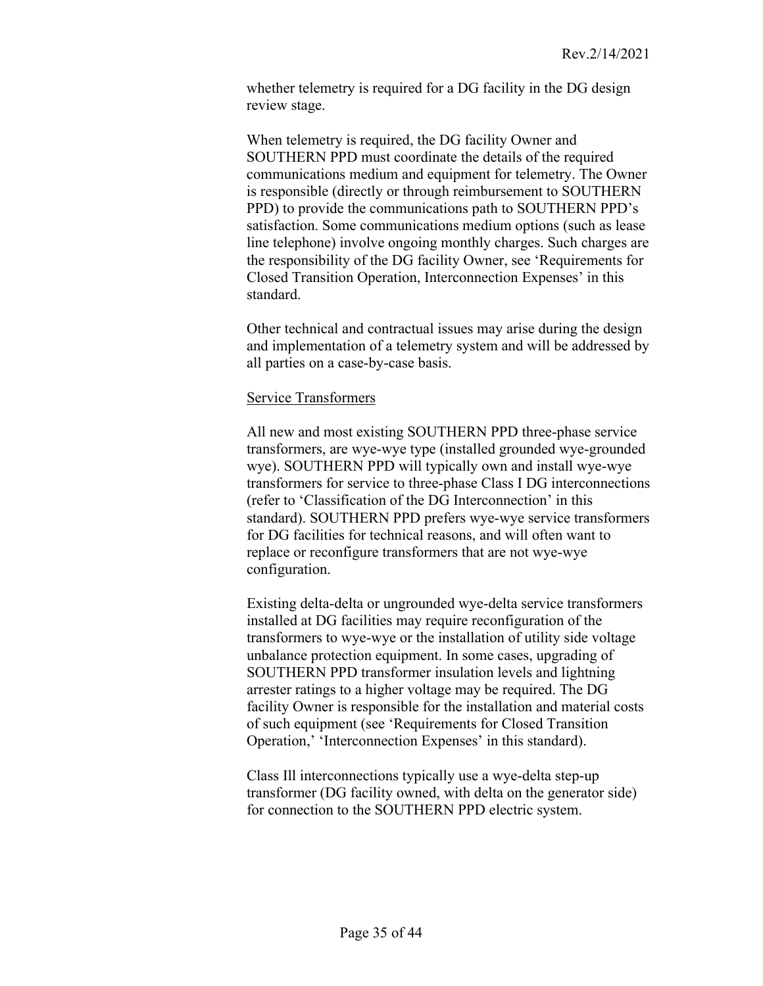whether telemetry is required for a DG facility in the DG design review stage.

When telemetry is required, the DG facility Owner and SOUTHERN PPD must coordinate the details of the required communications medium and equipment for telemetry. The Owner is responsible (directly or through reimbursement to SOUTHERN PPD) to provide the communications path to SOUTHERN PPD's satisfaction. Some communications medium options (such as lease line telephone) involve ongoing monthly charges. Such charges are the responsibility of the DG facility Owner, see 'Requirements for Closed Transition Operation, Interconnection Expenses' in this standard.

Other technical and contractual issues may arise during the design and implementation of a telemetry system and will be addressed by all parties on a case-by-case basis.

### <span id="page-34-0"></span>Service Transformers

All new and most existing SOUTHERN PPD three-phase service transformers, are wye-wye type (installed grounded wye-grounded wye). SOUTHERN PPD will typically own and install wye-wye transformers for service to three-phase Class I DG interconnections (refer to 'Classification of the DG Interconnection' in this standard). SOUTHERN PPD prefers wye-wye service transformers for DG facilities for technical reasons, and will often want to replace or reconfigure transformers that are not wye-wye configuration.

Existing delta-delta or ungrounded wye-delta service transformers installed at DG facilities may require reconfiguration of the transformers to wye-wye or the installation of utility side voltage unbalance protection equipment. In some cases, upgrading of SOUTHERN PPD transformer insulation levels and lightning arrester ratings to a higher voltage may be required. The DG facility Owner is responsible for the installation and material costs of such equipment (see 'Requirements for Closed Transition Operation,' 'Interconnection Expenses' in this standard).

Class Ill interconnections typically use a wye-delta step-up transformer (DG facility owned, with delta on the generator side) for connection to the SOUTHERN PPD electric system.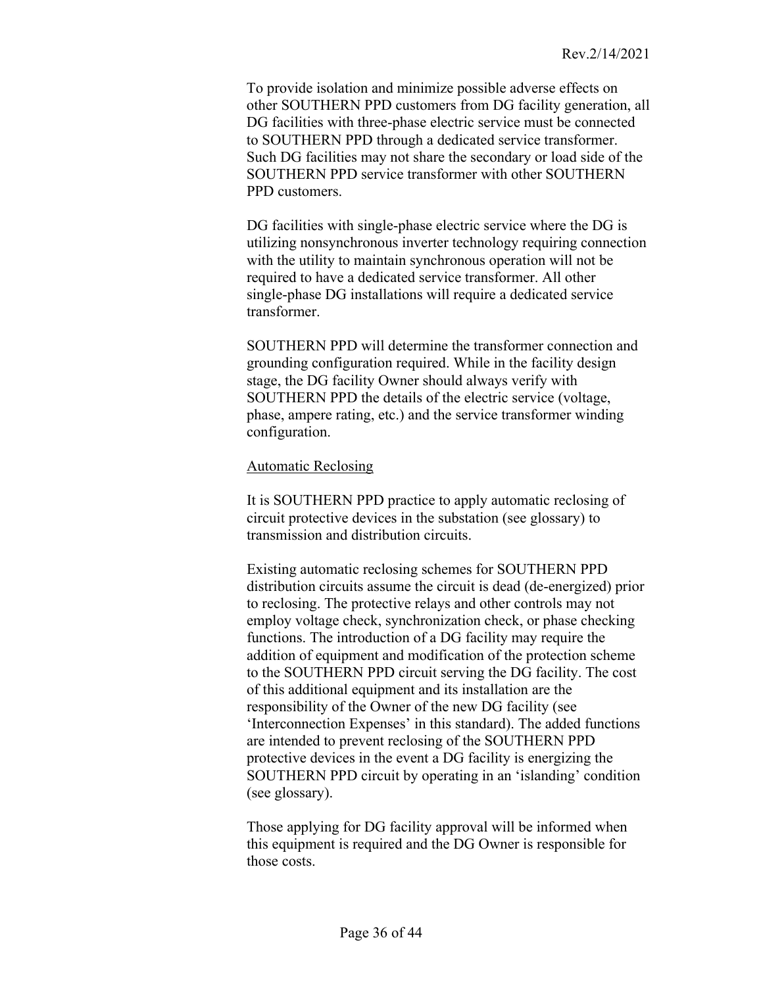To provide isolation and minimize possible adverse effects on other SOUTHERN PPD customers from DG facility generation, all DG facilities with three-phase electric service must be connected to SOUTHERN PPD through a dedicated service transformer. Such DG facilities may not share the secondary or load side of the SOUTHERN PPD service transformer with other SOUTHERN PPD customers.

DG facilities with single-phase electric service where the DG is utilizing nonsynchronous inverter technology requiring connection with the utility to maintain synchronous operation will not be required to have a dedicated service transformer. All other single-phase DG installations will require a dedicated service transformer.

SOUTHERN PPD will determine the transformer connection and grounding configuration required. While in the facility design stage, the DG facility Owner should always verify with SOUTHERN PPD the details of the electric service (voltage, phase, ampere rating, etc.) and the service transformer winding configuration.

#### <span id="page-35-0"></span>Automatic Reclosing

It is SOUTHERN PPD practice to apply automatic reclosing of circuit protective devices in the substation (see glossary) to transmission and distribution circuits.

Existing automatic reclosing schemes for SOUTHERN PPD distribution circuits assume the circuit is dead (de-energized) prior to reclosing. The protective relays and other controls may not employ voltage check, synchronization check, or phase checking functions. The introduction of a DG facility may require the addition of equipment and modification of the protection scheme to the SOUTHERN PPD circuit serving the DG facility. The cost of this additional equipment and its installation are the responsibility of the Owner of the new DG facility (see 'Interconnection Expenses' in this standard). The added functions are intended to prevent reclosing of the SOUTHERN PPD protective devices in the event a DG facility is energizing the SOUTHERN PPD circuit by operating in an 'islanding' condition (see glossary).

Those applying for DG facility approval will be informed when this equipment is required and the DG Owner is responsible for those costs.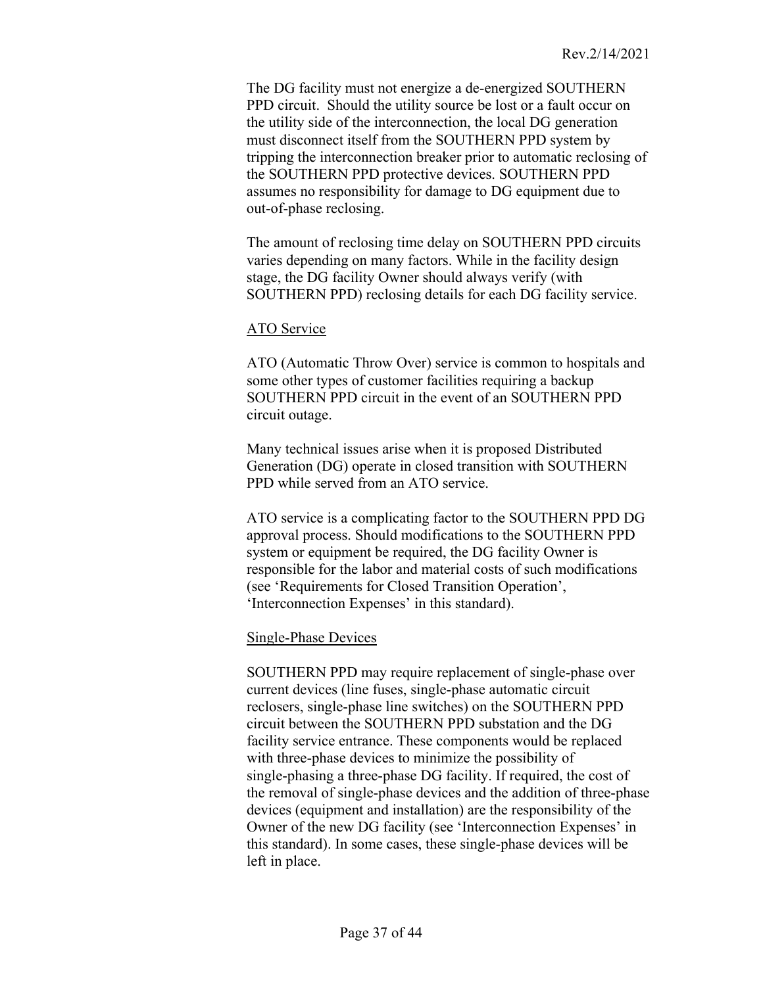The DG facility must not energize a de-energized SOUTHERN PPD circuit. Should the utility source be lost or a fault occur on the utility side of the interconnection, the local DG generation must disconnect itself from the SOUTHERN PPD system by tripping the interconnection breaker prior to automatic reclosing of the SOUTHERN PPD protective devices. SOUTHERN PPD assumes no responsibility for damage to DG equipment due to out-of-phase reclosing.

The amount of reclosing time delay on SOUTHERN PPD circuits varies depending on many factors. While in the facility design stage, the DG facility Owner should always verify (with SOUTHERN PPD) reclosing details for each DG facility service.

### <span id="page-36-0"></span>ATO Service

ATO (Automatic Throw Over) service is common to hospitals and some other types of customer facilities requiring a backup SOUTHERN PPD circuit in the event of an SOUTHERN PPD circuit outage.

Many technical issues arise when it is proposed Distributed Generation (DG) operate in closed transition with SOUTHERN PPD while served from an ATO service.

ATO service is a complicating factor to the SOUTHERN PPD DG approval process. Should modifications to the SOUTHERN PPD system or equipment be required, the DG facility Owner is responsible for the labor and material costs of such modifications (see 'Requirements for Closed Transition Operation', 'Interconnection Expenses' in this standard).

#### <span id="page-36-1"></span>Single-Phase Devices

SOUTHERN PPD may require replacement of single-phase over current devices (line fuses, single-phase automatic circuit reclosers, single-phase line switches) on the SOUTHERN PPD circuit between the SOUTHERN PPD substation and the DG facility service entrance. These components would be replaced with three-phase devices to minimize the possibility of single-phasing a three-phase DG facility. If required, the cost of the removal of single-phase devices and the addition of three-phase devices (equipment and installation) are the responsibility of the Owner of the new DG facility (see 'Interconnection Expenses' in this standard). In some cases, these single-phase devices will be left in place.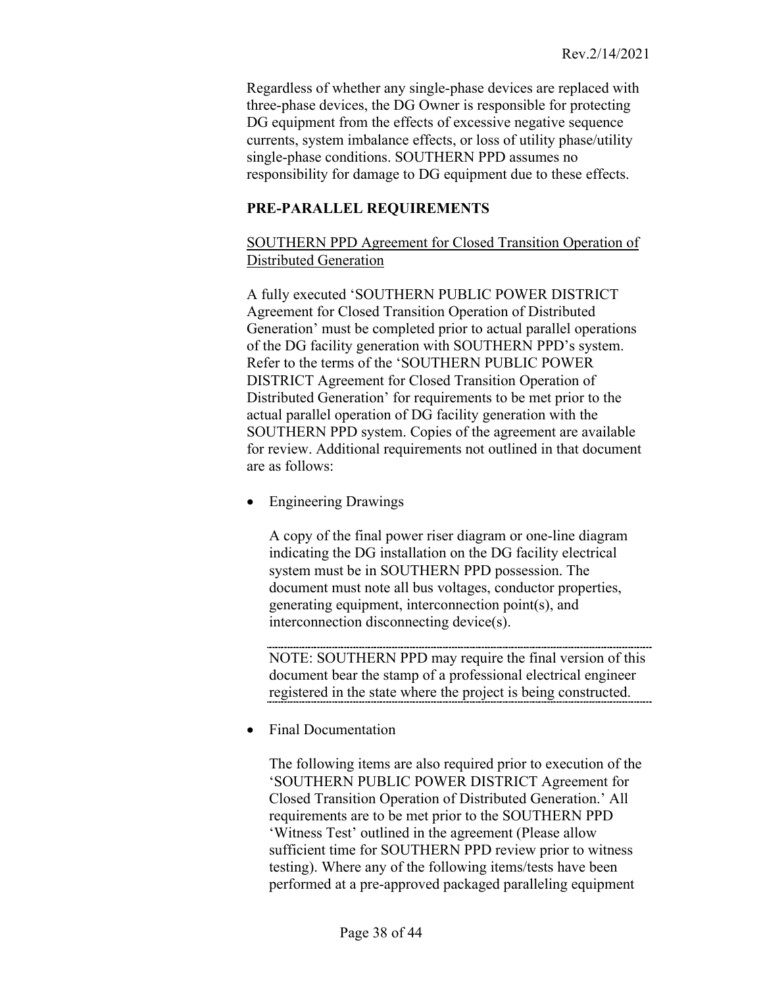Regardless of whether any single-phase devices are replaced with three-phase devices, the DG Owner is responsible for protecting DG equipment from the effects of excessive negative sequence currents, system imbalance effects, or loss of utility phase/utility single-phase conditions. SOUTHERN PPD assumes no responsibility for damage to DG equipment due to these effects.

# <span id="page-37-0"></span>**PRE-PARALLEL REQUIREMENTS**

# <span id="page-37-1"></span>SOUTHERN PPD Agreement for Closed Transition Operation of Distributed Generation

A fully executed 'SOUTHERN PUBLIC POWER DISTRICT Agreement for Closed Transition Operation of Distributed Generation' must be completed prior to actual parallel operations of the DG facility generation with SOUTHERN PPD's system. Refer to the terms of the 'SOUTHERN PUBLIC POWER DISTRICT Agreement for Closed Transition Operation of Distributed Generation' for requirements to be met prior to the actual parallel operation of DG facility generation with the SOUTHERN PPD system. Copies of the agreement are available for review. Additional requirements not outlined in that document are as follows:

• Engineering Drawings

<span id="page-37-2"></span>A copy of the final power riser diagram or one-line diagram indicating the DG installation on the DG facility electrical system must be in SOUTHERN PPD possession. The document must note all bus voltages, conductor properties, generating equipment, interconnection point(s), and interconnection disconnecting device(s).

NOTE: SOUTHERN PPD may require the final version of this document bear the stamp of a professional electrical engineer registered in the state where the project is being constructed.

• Final Documentation

<span id="page-37-3"></span>The following items are also required prior to execution of the 'SOUTHERN PUBLIC POWER DISTRICT Agreement for Closed Transition Operation of Distributed Generation.' All requirements are to be met prior to the SOUTHERN PPD 'Witness Test' outlined in the agreement (Please allow sufficient time for SOUTHERN PPD review prior to witness testing). Where any of the following items/tests have been performed at a pre-approved packaged paralleling equipment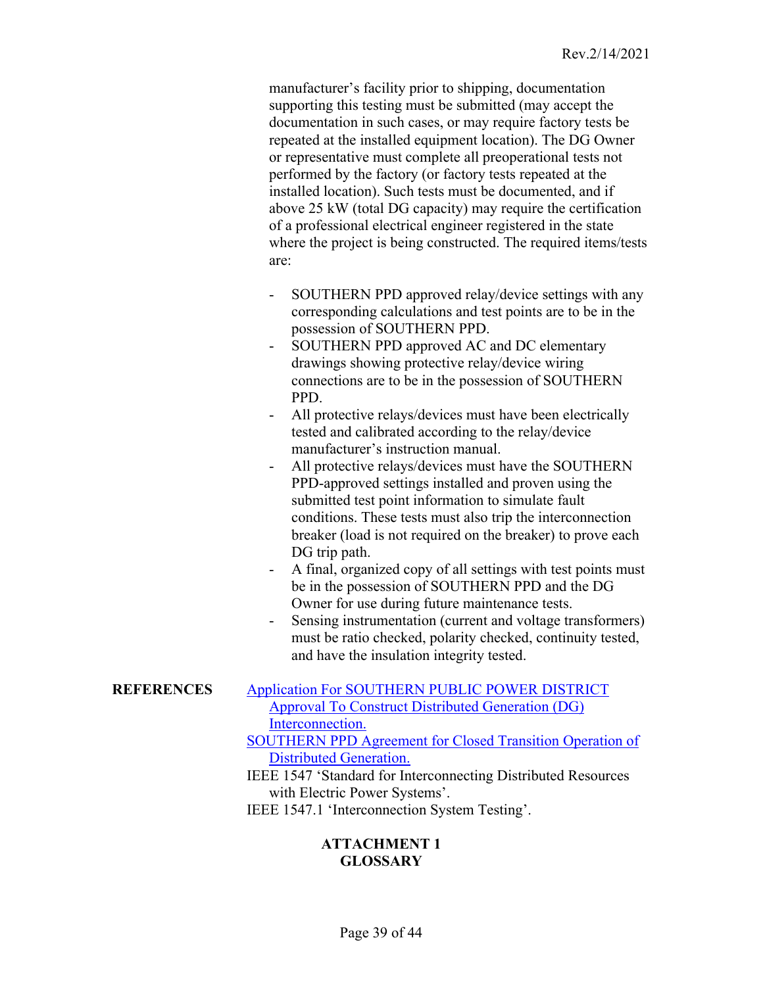manufacturer's facility prior to shipping, documentation supporting this testing must be submitted (may accept the documentation in such cases, or may require factory tests be repeated at the installed equipment location). The DG Owner or representative must complete all preoperational tests not performed by the factory (or factory tests repeated at the installed location). Such tests must be documented, and if above 25 kW (total DG capacity) may require the certification of a professional electrical engineer registered in the state where the project is being constructed. The required items/tests are:

- SOUTHERN PPD approved relay/device settings with any corresponding calculations and test points are to be in the possession of SOUTHERN PPD.
- SOUTHERN PPD approved AC and DC elementary drawings showing protective relay/device wiring connections are to be in the possession of SOUTHERN PPD.
- All protective relays/devices must have been electrically tested and calibrated according to the relay/device manufacturer's instruction manual.
- All protective relays/devices must have the SOUTHERN PPD-approved settings installed and proven using the submitted test point information to simulate fault conditions. These tests must also trip the interconnection breaker (load is not required on the breaker) to prove each DG trip path.
- A final, organized copy of all settings with test points must be in the possession of SOUTHERN PPD and the DG Owner for use during future maintenance tests.
- Sensing instrumentation (current and voltage transformers) must be ratio checked, polarity checked, continuity tested, and have the insulation integrity tested.

#### **REFERENCES** Application For SOUTHERN PUBLIC POWER DISTRICT Approval To Construct Distributed Generation (DG) Interconnection.

- <span id="page-38-0"></span>SOUTHERN PPD Agreement for Closed Transition Operation of Distributed Generation.
- IEEE 1547 'Standard for Interconnecting Distributed Resources with Electric Power Systems'.

IEEE 1547.1 'Interconnection System Testing'.

# **ATTACHMENT 1 GLOSSARY**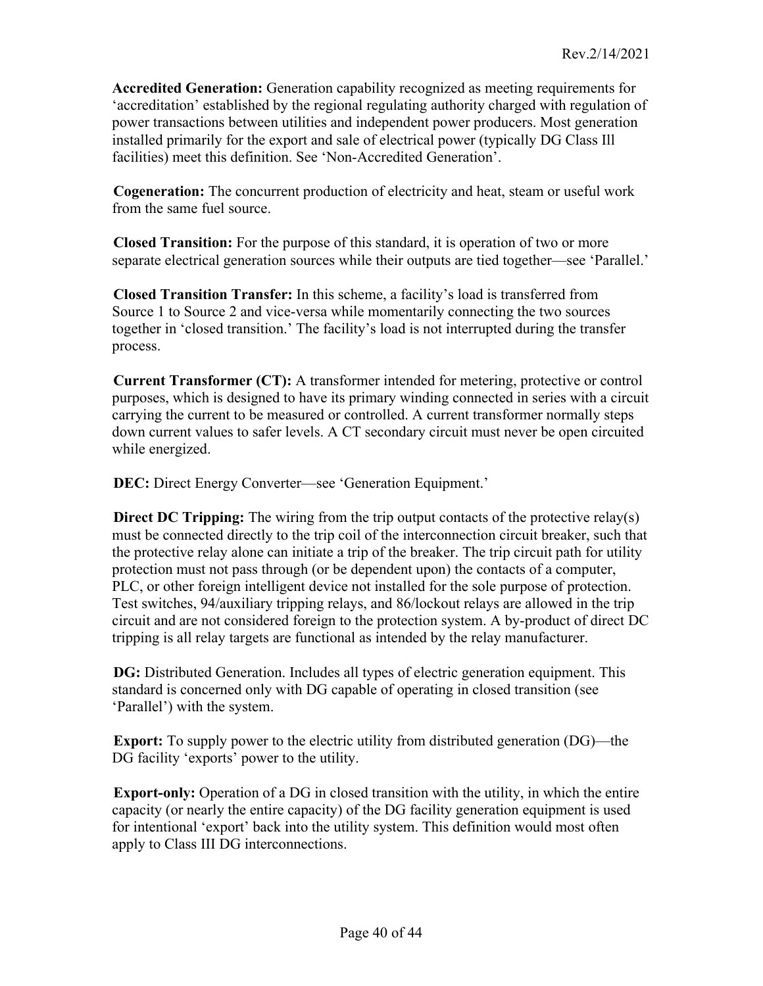**Accredited Generation:** Generation capability recognized as meeting requirements for 'accreditation' established by the regional regulating authority charged with regulation of power transactions between utilities and independent power producers. Most generation installed primarily for the export and sale of electrical power (typically DG Class Ill facilities) meet this definition. See 'Non-Accredited Generation'.

**Cogeneration:** The concurrent production of electricity and heat, steam or useful work from the same fuel source.

**Closed Transition:** For the purpose of this standard, it is operation of two or more separate electrical generation sources while their outputs are tied together—see 'Parallel.'

**Closed Transition Transfer:** In this scheme, a facility's load is transferred from Source 1 to Source 2 and vice-versa while momentarily connecting the two sources together in 'closed transition.' The facility's load is not interrupted during the transfer process.

**Current Transformer (CT):** A transformer intended for metering, protective or control purposes, which is designed to have its primary winding connected in series with a circuit carrying the current to be measured or controlled. A current transformer normally steps down current values to safer levels. A CT secondary circuit must never be open circuited while energized.

**DEC:** Direct Energy Converter—see 'Generation Equipment.'

**Direct DC Tripping:** The wiring from the trip output contacts of the protective relay(s) must be connected directly to the trip coil of the interconnection circuit breaker, such that the protective relay alone can initiate a trip of the breaker. The trip circuit path for utility protection must not pass through (or be dependent upon) the contacts of a computer, PLC, or other foreign intelligent device not installed for the sole purpose of protection. Test switches, 94/auxiliary tripping relays, and 86/lockout relays are allowed in the trip circuit and are not considered foreign to the protection system. A by-product of direct DC tripping is all relay targets are functional as intended by the relay manufacturer.

**DG:** Distributed Generation. Includes all types of electric generation equipment. This standard is concerned only with DG capable of operating in closed transition (see 'Parallel') with the system.

**Export:** To supply power to the electric utility from distributed generation (DG)—the DG facility 'exports' power to the utility.

**Export-only:** Operation of a DG in closed transition with the utility, in which the entire capacity (or nearly the entire capacity) of the DG facility generation equipment is used for intentional 'export' back into the utility system. This definition would most often apply to Class III DG interconnections.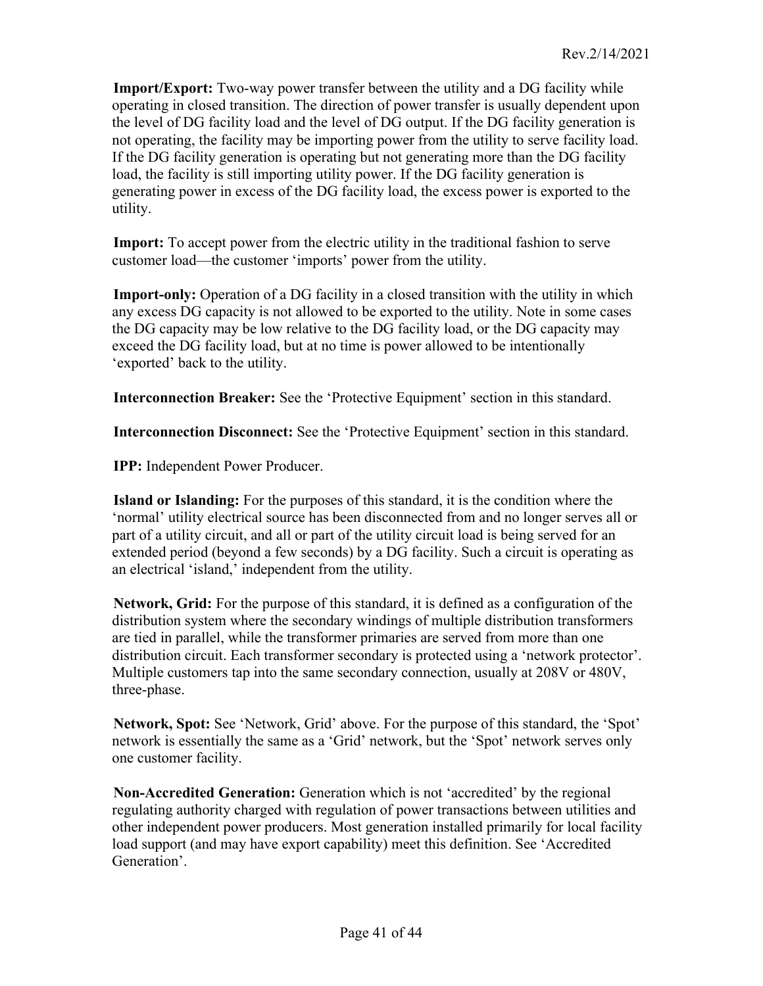**Import/Export:** Two-way power transfer between the utility and a DG facility while operating in closed transition. The direction of power transfer is usually dependent upon the level of DG facility load and the level of DG output. If the DG facility generation is not operating, the facility may be importing power from the utility to serve facility load. If the DG facility generation is operating but not generating more than the DG facility load, the facility is still importing utility power. If the DG facility generation is generating power in excess of the DG facility load, the excess power is exported to the utility.

**Import:** To accept power from the electric utility in the traditional fashion to serve customer load—the customer 'imports' power from the utility.

**Import-only:** Operation of a DG facility in a closed transition with the utility in which any excess DG capacity is not allowed to be exported to the utility. Note in some cases the DG capacity may be low relative to the DG facility load, or the DG capacity may exceed the DG facility load, but at no time is power allowed to be intentionally 'exported' back to the utility.

**Interconnection Breaker:** See the 'Protective Equipment' section in this standard.

**Interconnection Disconnect:** See the 'Protective Equipment' section in this standard.

**IPP:** Independent Power Producer.

**Island or Islanding:** For the purposes of this standard, it is the condition where the 'normal' utility electrical source has been disconnected from and no longer serves all or part of a utility circuit, and all or part of the utility circuit load is being served for an extended period (beyond a few seconds) by a DG facility. Such a circuit is operating as an electrical 'island,' independent from the utility.

**Network, Grid:** For the purpose of this standard, it is defined as a configuration of the distribution system where the secondary windings of multiple distribution transformers are tied in parallel, while the transformer primaries are served from more than one distribution circuit. Each transformer secondary is protected using a 'network protector'. Multiple customers tap into the same secondary connection, usually at 208V or 480V, three-phase.

**Network, Spot:** See 'Network, Grid' above. For the purpose of this standard, the 'Spot' network is essentially the same as a 'Grid' network, but the 'Spot' network serves only one customer facility.

**Non-Accredited Generation:** Generation which is not 'accredited' by the regional regulating authority charged with regulation of power transactions between utilities and other independent power producers. Most generation installed primarily for local facility load support (and may have export capability) meet this definition. See 'Accredited Generation'.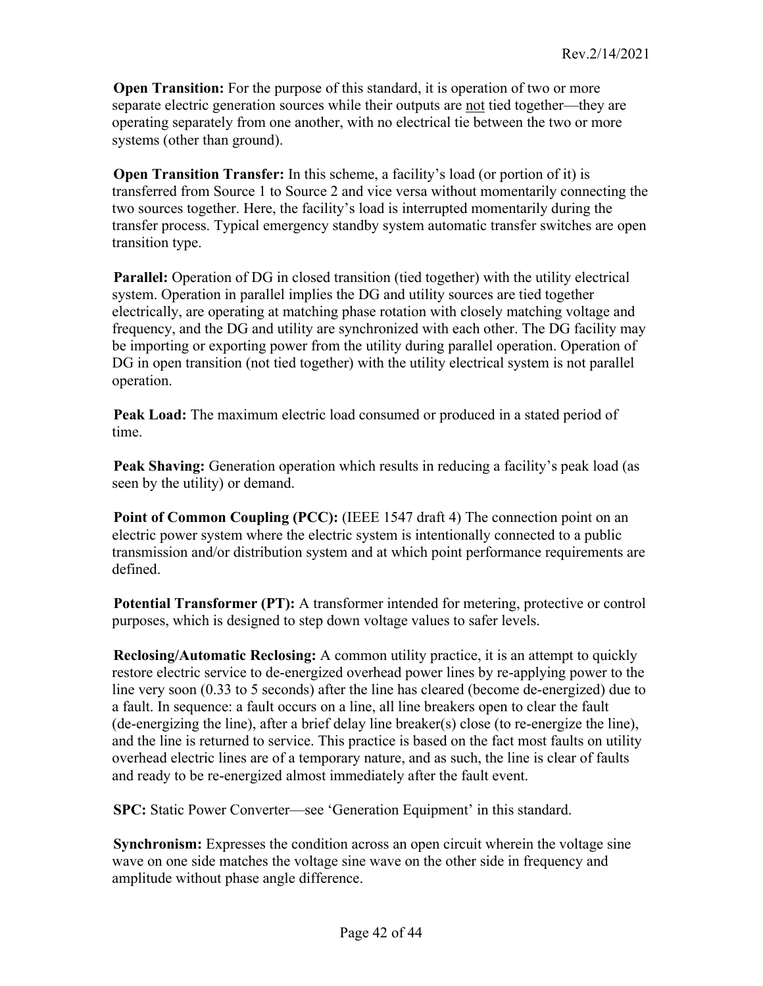**Open Transition:** For the purpose of this standard, it is operation of two or more separate electric generation sources while their outputs are not tied together—they are operating separately from one another, with no electrical tie between the two or more systems (other than ground).

**Open Transition Transfer:** In this scheme, a facility's load (or portion of it) is transferred from Source 1 to Source 2 and vice versa without momentarily connecting the two sources together. Here, the facility's load is interrupted momentarily during the transfer process. Typical emergency standby system automatic transfer switches are open transition type.

**Parallel:** Operation of DG in closed transition (tied together) with the utility electrical system. Operation in parallel implies the DG and utility sources are tied together electrically, are operating at matching phase rotation with closely matching voltage and frequency, and the DG and utility are synchronized with each other. The DG facility may be importing or exporting power from the utility during parallel operation. Operation of DG in open transition (not tied together) with the utility electrical system is not parallel operation.

**Peak Load:** The maximum electric load consumed or produced in a stated period of time.

**Peak Shaving:** Generation operation which results in reducing a facility's peak load (as seen by the utility) or demand.

**Point of Common Coupling (PCC):** (IEEE 1547 draft 4) The connection point on an electric power system where the electric system is intentionally connected to a public transmission and/or distribution system and at which point performance requirements are defined.

**Potential Transformer (PT):** A transformer intended for metering, protective or control purposes, which is designed to step down voltage values to safer levels.

**Reclosing/Automatic Reclosing:** A common utility practice, it is an attempt to quickly restore electric service to de-energized overhead power lines by re-applying power to the line very soon (0.33 to 5 seconds) after the line has cleared (become de-energized) due to a fault. In sequence: a fault occurs on a line, all line breakers open to clear the fault (de-energizing the line), after a brief delay line breaker(s) close (to re-energize the line), and the line is returned to service. This practice is based on the fact most faults on utility overhead electric lines are of a temporary nature, and as such, the line is clear of faults and ready to be re-energized almost immediately after the fault event.

**SPC:** Static Power Converter—see 'Generation Equipment' in this standard.

**Synchronism:** Expresses the condition across an open circuit wherein the voltage sine wave on one side matches the voltage sine wave on the other side in frequency and amplitude without phase angle difference.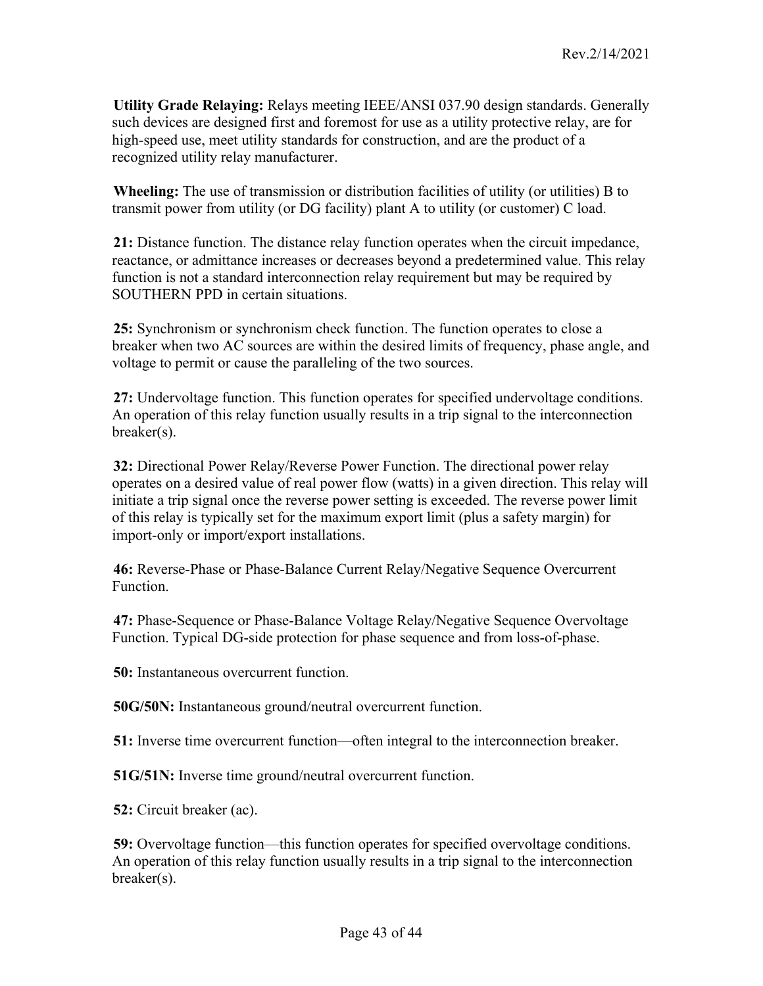**Utility Grade Relaying:** Relays meeting IEEE/ANSI 037.90 design standards. Generally such devices are designed first and foremost for use as a utility protective relay, are for high-speed use, meet utility standards for construction, and are the product of a recognized utility relay manufacturer.

**Wheeling:** The use of transmission or distribution facilities of utility (or utilities) B to transmit power from utility (or DG facility) plant A to utility (or customer) C load.

**21:** Distance function. The distance relay function operates when the circuit impedance, reactance, or admittance increases or decreases beyond a predetermined value. This relay function is not a standard interconnection relay requirement but may be required by SOUTHERN PPD in certain situations.

**25:** Synchronism or synchronism check function. The function operates to close a breaker when two AC sources are within the desired limits of frequency, phase angle, and voltage to permit or cause the paralleling of the two sources.

**27:** Undervoltage function. This function operates for specified undervoltage conditions. An operation of this relay function usually results in a trip signal to the interconnection breaker(s).

**32:** Directional Power Relay/Reverse Power Function. The directional power relay operates on a desired value of real power flow (watts) in a given direction. This relay will initiate a trip signal once the reverse power setting is exceeded. The reverse power limit of this relay is typically set for the maximum export limit (plus a safety margin) for import-only or import/export installations.

**46:** Reverse-Phase or Phase-Balance Current Relay/Negative Sequence Overcurrent Function.

**47:** Phase-Sequence or Phase-Balance Voltage Relay/Negative Sequence Overvoltage Function. Typical DG-side protection for phase sequence and from loss-of-phase.

**50:** Instantaneous overcurrent function.

**50G/50N:** Instantaneous ground/neutral overcurrent function.

**51:** Inverse time overcurrent function—often integral to the interconnection breaker.

**51G/51N:** Inverse time ground/neutral overcurrent function.

**52:** Circuit breaker (ac).

**59:** Overvoltage function—this function operates for specified overvoltage conditions. An operation of this relay function usually results in a trip signal to the interconnection breaker(s).